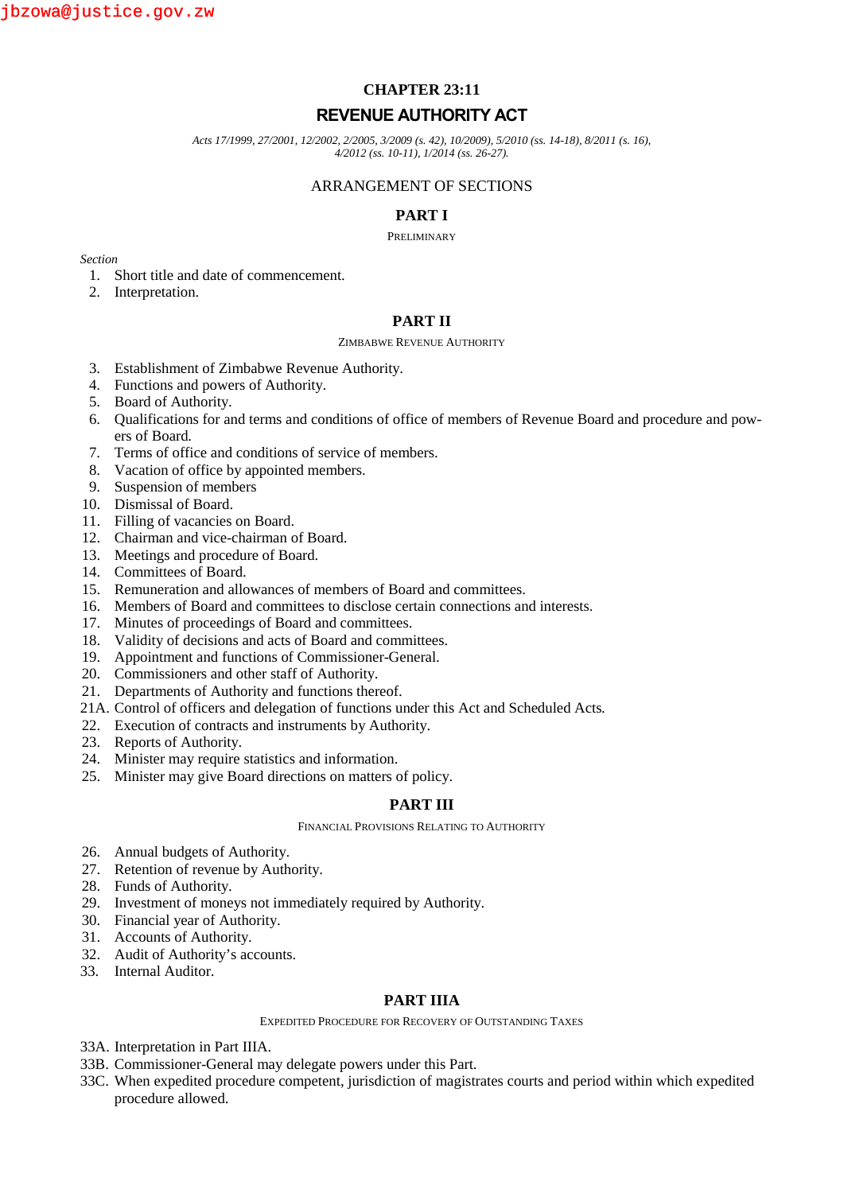# **CHAPTER 23:11**

# **REVENUE AUTHORITY ACT**

*Acts 17/1999, 27/2001, 12/2002, 2/2005, 3/2009 (s. 42), 10/2009), 5/2010 (ss. 14-18), 8/2011 (s. 16), 4/2012 (ss. 10-11), 1/2014 (ss. 26-27).*

### ARRANGEMENT OF SECTIONS

## **PART I**

#### PRELIMINARY

*Section*

- 1. Short title and date of commencement.
- 2. Interpretation.

## **PART II**

#### ZIMBABWE REVENUE AUTHORITY

- 3. Establishment of Zimbabwe Revenue Authority.
- 4. Functions and powers of Authority.
- 5. Board of Authority.
- 6. Qualifications for and terms and conditions of office of members of Revenue Board and procedure and powers of Board.
- 7. Terms of office and conditions of service of members.
- 8. Vacation of office by appointed members.
- 9. Suspension of members
- 10. Dismissal of Board.
- 11. Filling of vacancies on Board.
- 12. Chairman and vice-chairman of Board.
- 13. Meetings and procedure of Board.
- 14. Committees of Board.
- 15. Remuneration and allowances of members of Board and committees.
- 16. Members of Board and committees to disclose certain connections and interests.
- 17. Minutes of proceedings of Board and committees.
- 18. Validity of decisions and acts of Board and committees.
- 19. Appointment and functions of Commissioner-General.
- 20. Commissioners and other staff of Authority.
- 21. Departments of Authority and functions thereof.
- 21A. Control of officers and delegation of functions under this Act and Scheduled Acts.
- 22. Execution of contracts and instruments by Authority.
- 23. Reports of Authority.
- 24. Minister may require statistics and information.
- 25. Minister may give Board directions on matters of policy.

## **PART III**

FINANCIAL PROVISIONS RELATING TO AUTHORITY

- 26. Annual budgets of Authority.
- 27. Retention of revenue by Authority.
- 28. Funds of Authority.
- 29. Investment of moneys not immediately required by Authority.
- 30. Financial year of Authority.
- 31. Accounts of Authority.
- 32. Audit of Authority's accounts.
- 33. Internal Auditor.

## **PART IIIA**

EXPEDITED PROCEDURE FOR RECOVERY OF OUTSTANDING TAXES

- 33A. Interpretation in Part IIIA.
- 33B. Commissioner-General may delegate powers under this Part.
- 33C. When expedited procedure competent, jurisdiction of magistrates courts and period within which expedited procedure allowed.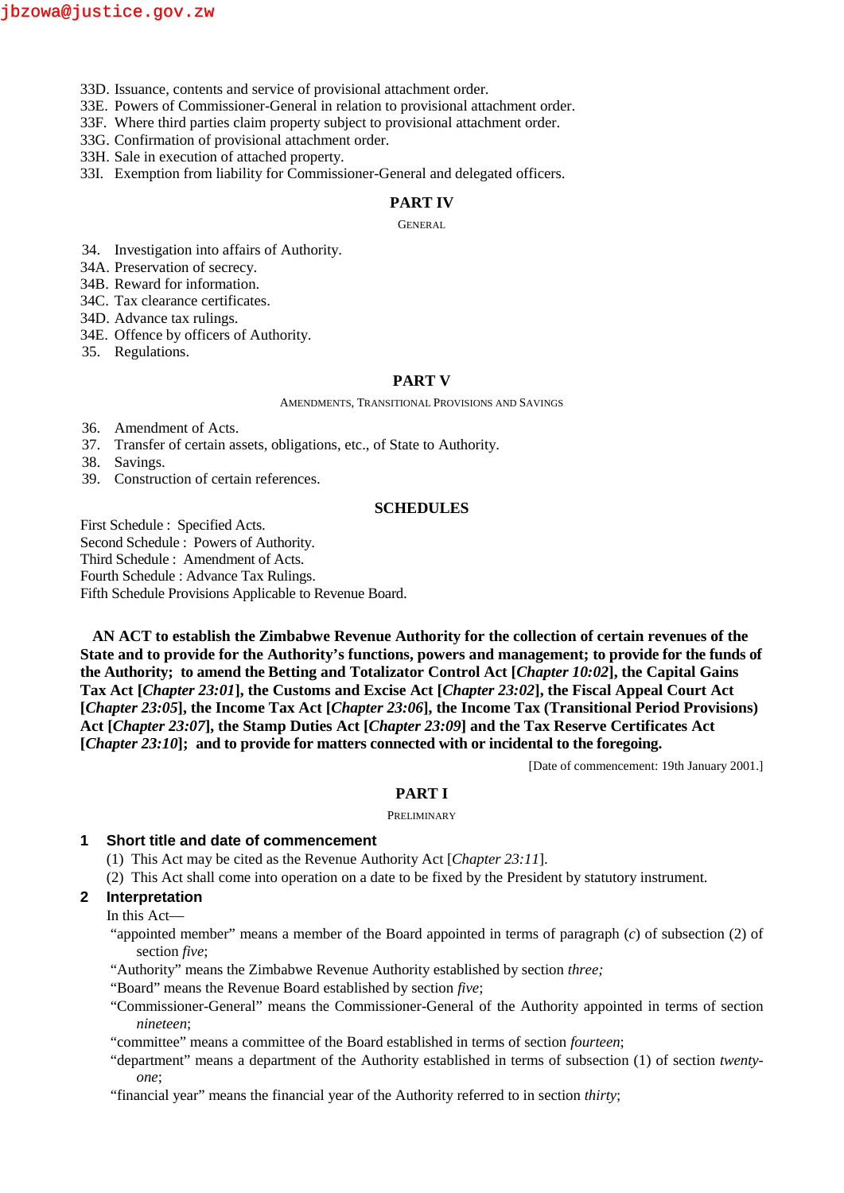- 33D. Issuance, contents and service of provisional attachment order.
- 33E. Powers of Commissioner-General in relation to provisional attachment order.
- 33F. Where third parties claim property subject to provisional attachment order.

33G. Confirmation of provisional attachment order.

33H. Sale in execution of attached property.

33I. Exemption from liability for Commissioner-General and delegated officers.

### **PART IV**

GENERAL

- 34. Investigation into affairs of Authority.
- 34A. Preservation of secrecy.
- 34B. Reward for information.
- 34C. Tax clearance certificates.
- 34D. Advance tax rulings.
- 34E. Offence by officers of Authority.
- 35. Regulations.

#### **PART V**

AMENDMENTS, TRANSITIONAL PROVISIONS AND SAVINGS

- 36. Amendment of Acts.
- 37. Transfer of certain assets, obligations, etc., of State to Authority.
- 38. Savings.
- 39. Construction of certain references.

#### **SCHEDULES**

First Schedule : Specified Acts. Second Schedule : Powers of Authority. Third Schedule : Amendment of Acts. Fourth Schedule : Advance Tax Rulings. Fifth Schedule Provisions Applicable to Revenue Board.

**AN ACT to establish the Zimbabwe Revenue Authority for the collection of certain revenues of the State and to provide for the Authority's functions, powers and management; to provide for the funds of the Authority; to amend the Betting and Totalizator Control Act [***Chapter 10:02***], the Capital Gains Tax Act [***Chapter 23:01***], the Customs and Excise Act [***Chapter 23:02***], the Fiscal Appeal Court Act [***Chapter 23:05***], the Income Tax Act [***Chapter 23:06***], the Income Tax (Transitional Period Provisions) Act [***Chapter 23:07***], the Stamp Duties Act [***Chapter 23:09***] and the Tax Reserve Certificates Act [***Chapter 23:10***]; and to provide for matters connected with or incidental to the foregoing.**

[Date of commencement: 19th January 2001.]

#### **PART I**

#### PRELIMINARY

#### **1 Short title and date of commencement**

- (1) This Act may be cited as the Revenue Authority Act [*Chapter 23:11*].
- (2) This Act shall come into operation on a date to be fixed by the President by statutory instrument.

# **2 Interpretation**

#### In this Act—

"appointed member" means a member of the Board appointed in terms of paragraph (*c*) of subsection (2) of section *five*;

- "Authority" means the Zimbabwe Revenue Authority established by section *three;*
- "Board" means the Revenue Board established by section *five*;
- "Commissioner-General" means the Commissioner-General of the Authority appointed in terms of section *nineteen*;
- "committee" means a committee of the Board established in terms of section *fourteen*;
- "department" means a department of the Authority established in terms of subsection (1) of section *twenty one*;
- "financial year" means the financial year of the Authority referred to in section *thirty*;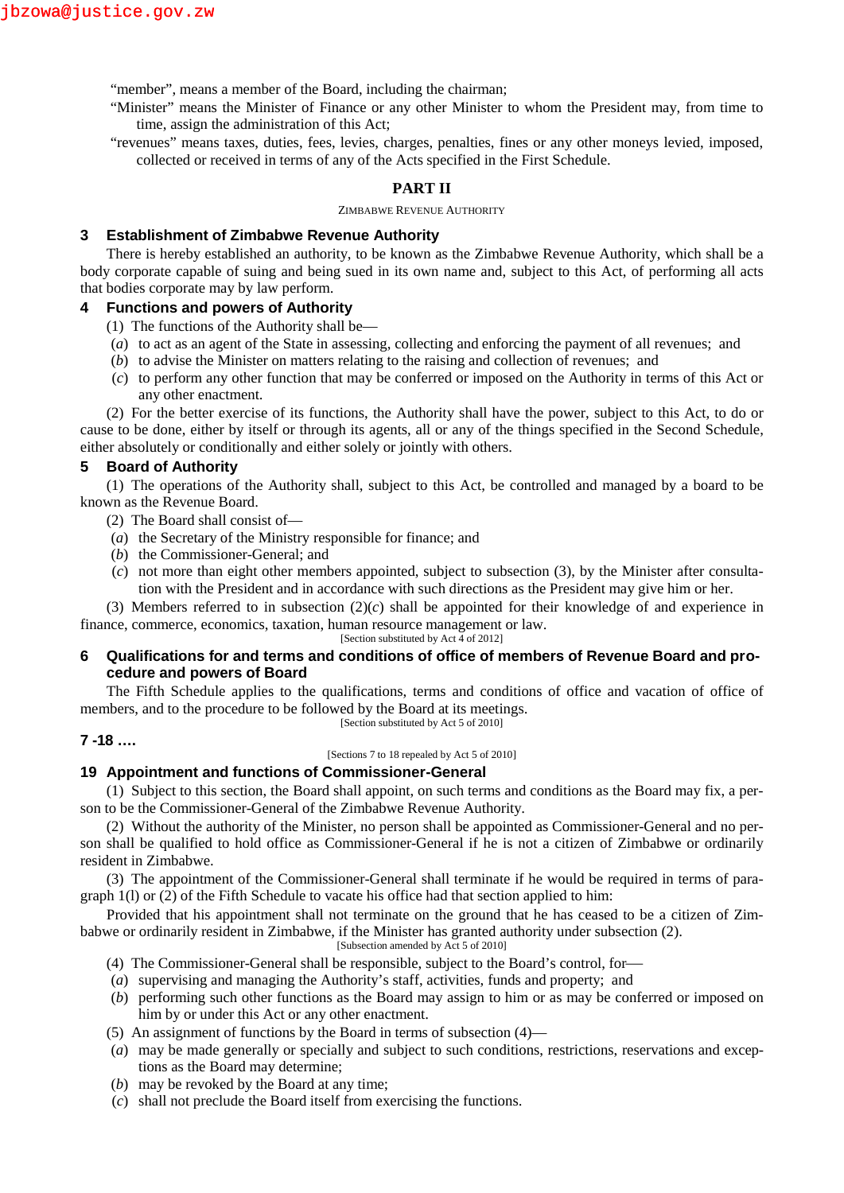"member", means a member of the Board, including the chairman;

- "Minister" means the Minister of Finance or any other Minister to whom the President may, from time to time, assign the administration of this Act;
- "revenues" means taxes, duties, fees, levies, charges, penalties, fines or any other moneys levied, imposed, collected or received in terms of any of the Acts specified in the First Schedule.

## **PART II**

ZIMBABWE REVENUE AUTHORITY

### **3 Establishment of Zimbabwe Revenue Authority**

There is hereby established an authority, to be known as the Zimbabwe Revenue Authority, which shall be a body corporate capable of suing and being sued in its own name and, subject to this Act, of performing all acts that bodies corporate may by law perform.

## **4 Functions and powers of Authority**

- (1) The functions of the Authority shall be—
- (*a*) to act as an agent of the State in assessing, collecting and enforcing the payment of all revenues; and
- (*b*) to advise the Minister on matters relating to the raising and collection of revenues; and
- (*c*) to perform any other function that may be conferred or imposed on the Authority in terms of this Act or any other enactment.

(2) For the better exercise of its functions, the Authority shall have the power, subject to this Act, to do or cause to be done, either by itself or through its agents, all or any of the things specified in the Second Schedule, either absolutely or conditionally and either solely or jointly with others.

### **5 Board of Authority**

(1) The operations of the Authority shall, subject to this Act, be controlled and managed by a board to be known as the Revenue Board.

- (2) The Board shall consist of—
- (*a*) the Secretary of the Ministry responsible for finance; and
- (*b*) the Commissioner-General; and
- (*c*) not more than eight other members appointed, subject to subsection (3), by the Minister after consultation with the President and in accordance with such directions as the President may give him or her.

(3) Members referred to in subsection (2)(*c*) shall be appointed for their knowledge of and experience in finance, commerce, economics, taxation, human resource management or law. [Section substituted by Act 4 of 2012]

# **6 Qualifications for and terms and conditions of office of members of Revenue Board and procedure and powers of Board**

The Fifth Schedule applies to the qualifications, terms and conditions of office and vacation of office of members, and to the procedure to be followed by the Board at its meetings. [Section substituted by Act 5 of 2010]

## **7 -18 ….**

[Sections 7 to 18 repealed by Act 5 of 2010]

### **19 Appointment and functions of Commissioner-General**

(1) Subject to this section, the Board shall appoint, on such terms and conditions as the Board may fix, a person to be the Commissioner-General of the Zimbabwe Revenue Authority.

(2) Without the authority of the Minister, no person shall be appointed as Commissioner-General and no person shall be qualified to hold office as Commissioner-General if he is not a citizen of Zimbabwe or ordinarily resident in Zimbabwe.

(3) The appointment of the Commissioner-General shall terminate if he would be required in terms of paragraph 1(l) or (2) of the Fifth Schedule to vacate his office had that section applied to him:

Provided that his appointment shall not terminate on the ground that he has ceased to be a citizen of Zimbabwe or ordinarily resident in Zimbabwe, if the Minister has granted authority under subsection (2).

[Subsection amended by Act 5 of 2010]

- (4) The Commissioner-General shall be responsible, subject to the Board's control, for
- (*a*) supervising and managing the Authority's staff, activities, funds and property; and
- (*b*) performing such other functions as the Board may assign to him or as may be conferred or imposed on him by or under this Act or any other enactment.
- (5) An assignment of functions by the Board in terms of subsection (4)—
- (*a*) may be made generally or specially and subject to such conditions, restrictions, reservations and exceptions as the Board may determine;
- (*b*) may be revoked by the Board at any time;
- (*c*) shall not preclude the Board itself from exercising the functions.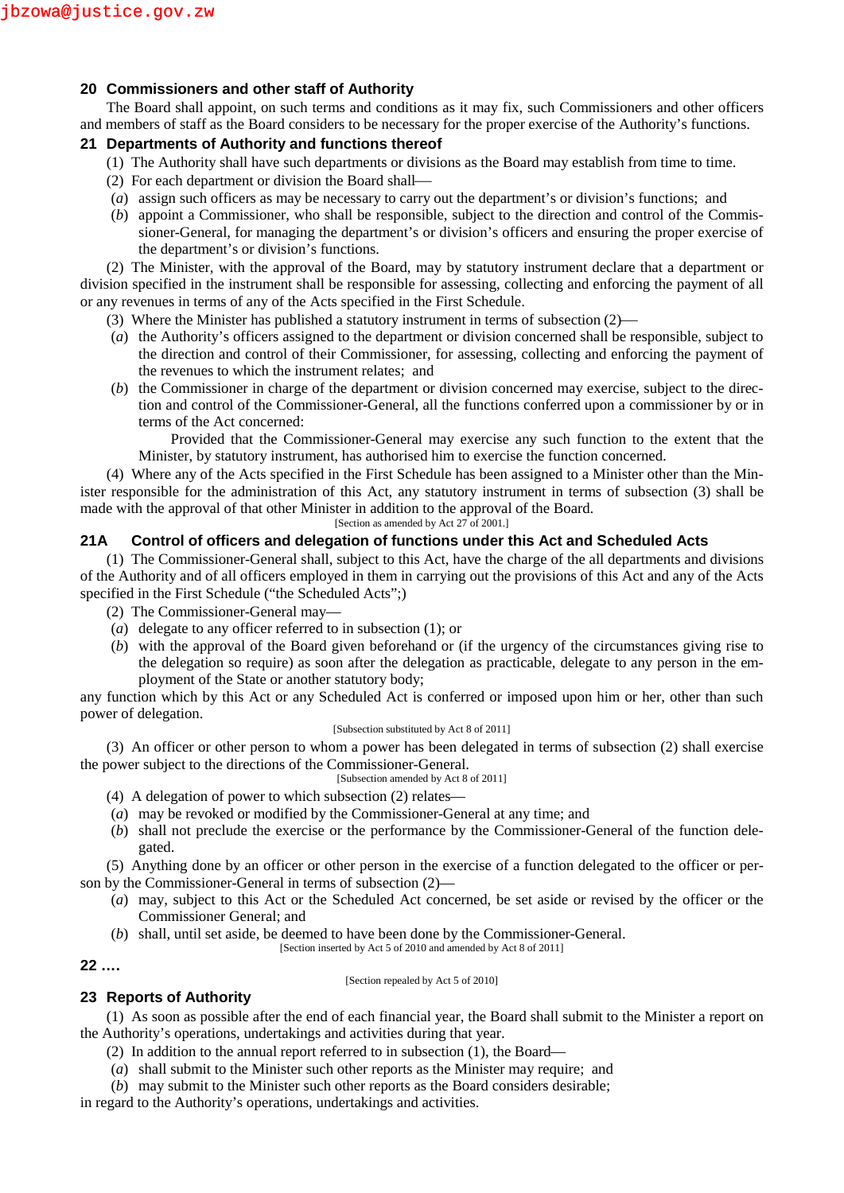## **20 Commissioners and other staff of Authority**

The Board shall appoint, on such terms and conditions as it may fix, such Commissioners and other officers and members of staff as the Board considers to be necessary for the proper exercise of the Authority's functions.

## **21 Departments of Authority and functions thereof**

- (1) The Authority shall have such departments or divisions as the Board may establish from time to time.
- (2) For each department or division the Board shall
- (*a*) assign such officers as may be necessary to carry out the department's or division's functions; and
- (*b*) appoint a Commissioner, who shall be responsible, subject to the direction and control of the Commissioner-General, for managing the department's or division's officers and ensuring the proper exercise of the department's or division's functions.

(2) The Minister, with the approval of the Board, may by statutory instrument declare that a department or division specified in the instrument shall be responsible for assessing, collecting and enforcing the payment of all or any revenues in terms of any of the Acts specified in the First Schedule.

- (3) Where the Minister has published a statutory instrument in terms of subsection (2)
- (*a*) the Authority's officers assigned to the department or division concerned shall be responsible, subject to the direction and control of their Commissioner, for assessing, collecting and enforcing the payment of the revenues to which the instrument relates; and
- (*b*) the Commissioner in charge of the department or division concerned may exercise, subject to the direction and control of the Commissioner-General, all the functions conferred upon a commissioner by or in terms of the Act concerned:

Provided that the Commissioner-General may exercise any such function to the extent that the Minister, by statutory instrument, has authorised him to exercise the function concerned.

(4) Where any of the Acts specified in the First Schedule has been assigned to a Minister other than the Minister responsible for the administration of this Act, any statutory instrument in terms of subsection (3) shall be made with the approval of that other Minister in addition to the approval of the Board.

[Section as amended by Act 27 of 2001.]

# **21A Control of officers and delegation of functions under this Act and Scheduled Acts**

(1) The Commissioner-General shall, subject to this Act, have the charge of the all departments and divisions of the Authority and of all officers employed in them in carrying out the provisions of this Act and any of the Acts specified in the First Schedule ("the Scheduled Acts";)

- (2) The Commissioner-General may—
- (*a*) delegate to any officer referred to in subsection (1); or
- (*b*) with the approval of the Board given beforehand or (if the urgency of the circumstances giving rise to the delegation so require) as soon after the delegation as practicable, delegate to any person in the employment of the State or another statutory body;

any function which by this Act or any Scheduled Act is conferred or imposed upon him or her, other than such power of delegation.

#### [Subsection substituted by Act 8 of 2011]

(3) An officer or other person to whom a power has been delegated in terms of subsection (2) shall exercise the power subject to the directions of the Commissioner-General.

[Subsection amended by Act 8 of 2011]

- (4) A delegation of power to which subsection (2) relates—
- (*a*) may be revoked or modified by the Commissioner-General at any time; and
- (*b*) shall not preclude the exercise or the performance by the Commissioner-General of the function delegated.

(5) Anything done by an officer or other person in the exercise of a function delegated to the officer or person by the Commissioner-General in terms of subsection (2)—

- (*a*) may, subject to this Act or the Scheduled Act concerned, be set aside or revised by the officer or the Commissioner General; and
- (*b*) shall, until set aside, be deemed to have been done by the Commissioner-General.

[Section inserted by Act 5 of 2010 and amended by Act 8 of 2011]

## **22 ….**

### [Section repealed by Act 5 of 2010]

## **23 Reports of Authority**

(1) As soon as possible after the end of each financial year, the Board shall submit to the Minister a report on the Authority's operations, undertakings and activities during that year.

- (2) In addition to the annual report referred to in subsection (1), the Board—
- (*a*) shall submit to the Minister such other reports as the Minister may require; and
- (*b*) may submit to the Minister such other reports as the Board considers desirable;

in regard to the Authority's operations, undertakings and activities.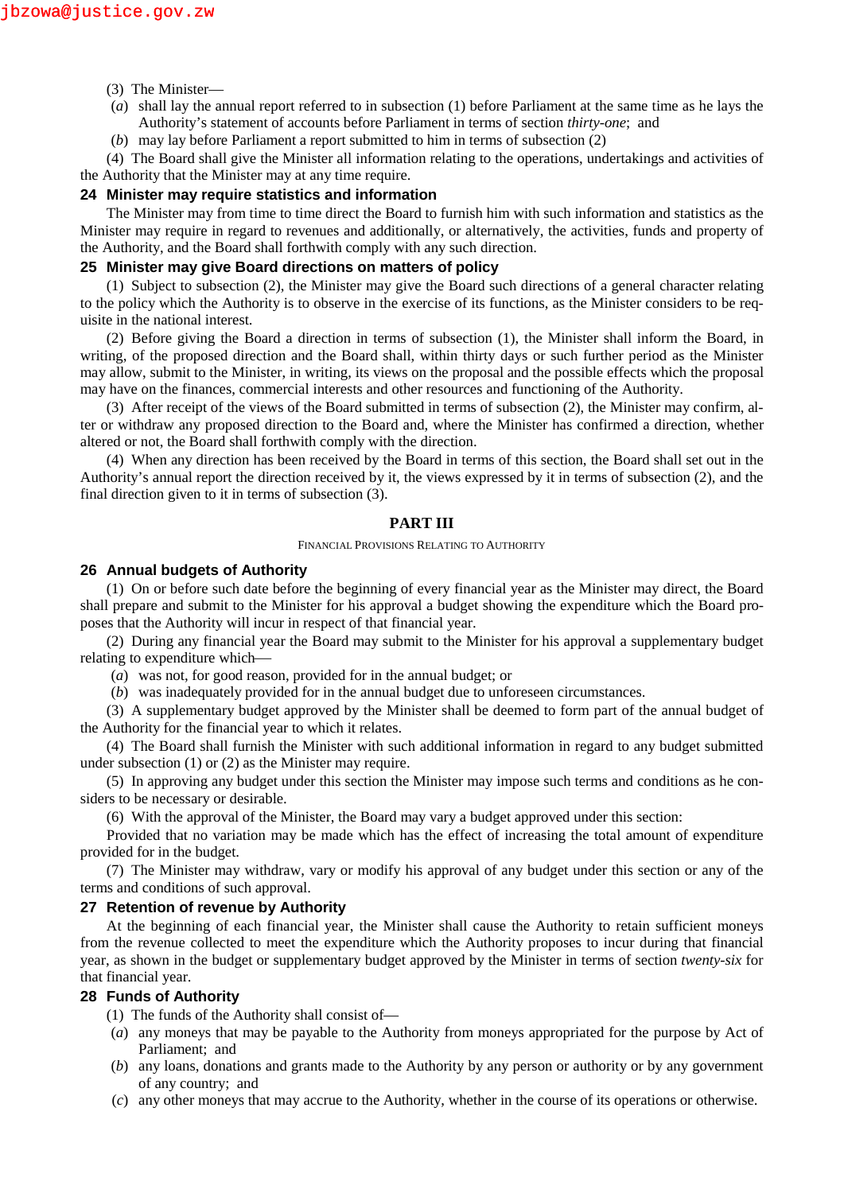- (3) The Minister—
- (*a*) shall lay the annual report referred to in subsection (1) before Parliament at the same time as he lays the Authority's statement of accounts before Parliament in terms of section *thirty-one*; and
- (*b*) may lay before Parliament a report submitted to him in terms of subsection (2)

(4) The Board shall give the Minister all information relating to the operations, undertakings and activities of the Authority that the Minister may at any time require.

### **24 Minister may require statistics and information**

The Minister may from time to time direct the Board to furnish him with such information and statistics as the Minister may require in regard to revenues and additionally, or alternatively, the activities, funds and property of the Authority, and the Board shall forthwith comply with any such direction.

### **25 Minister may give Board directions on matters of policy**

(1) Subject to subsection (2), the Minister may give the Board such directions of a general character relating to the policy which the Authority is to observe in the exercise of its functions, as the Minister considers to be requisite in the national interest.

(2) Before giving the Board a direction in terms of subsection (1), the Minister shall inform the Board, in writing, of the proposed direction and the Board shall, within thirty days or such further period as the Minister may allow, submit to the Minister, in writing, its views on the proposal and the possible effects which the proposal may have on the finances, commercial interests and other resources and functioning of the Authority.

(3) After receipt of the views of the Board submitted in terms of subsection (2), the Minister may confirm, alter or withdraw any proposed direction to the Board and, where the Minister has confirmed a direction, whether altered or not, the Board shall forthwith comply with the direction.

(4) When any direction has been received by the Board in terms of this section, the Board shall set out in the Authority's annual report the direction received by it, the views expressed by it in terms of subsection (2), and the final direction given to it in terms of subsection (3).

#### **PART III**

#### FINANCIAL PROVISIONS RELATING TO AUTHORITY

### **26 Annual budgets of Authority**

(1) On or before such date before the beginning of every financial year as the Minister may direct, the Board shall prepare and submit to the Minister for his approval a budget showing the expenditure which the Board proposes that the Authority will incur in respect of that financial year.

(2) During any financial year the Board may submit to the Minister for his approval a supplementary budget relating to expenditure which

(*a*) was not, for good reason, provided for in the annual budget; or

(*b*) was inadequately provided for in the annual budget due to unforeseen circumstances.

(3) A supplementary budget approved by the Minister shall be deemed to form part of the annual budget of the Authority for the financial year to which it relates.

(4) The Board shall furnish the Minister with such additional information in regard to any budget submitted under subsection (1) or (2) as the Minister may require.

(5) In approving any budget under this section the Minister may impose such terms and conditions as he considers to be necessary or desirable.

(6) With the approval of the Minister, the Board may vary a budget approved under this section:

Provided that no variation may be made which has the effect of increasing the total amount of expenditure provided for in the budget.

(7) The Minister may withdraw, vary or modify his approval of any budget under this section or any of the terms and conditions of such approval.

#### **27 Retention of revenue by Authority**

At the beginning of each financial year, the Minister shall cause the Authority to retain sufficient moneys from the revenue collected to meet the expenditure which the Authority proposes to incur during that financial year, as shown in the budget or supplementary budget approved by the Minister in terms of section *twenty-six* for that financial year.

### **28 Funds of Authority**

- (1) The funds of the Authority shall consist of—
- (*a*) any moneys that may be payable to the Authority from moneys appropriated for the purpose by Act of Parliament; and
- (*b*) any loans, donations and grants made to the Authority by any person or authority or by any government of any country; and
- (*c*) any other moneys that may accrue to the Authority, whether in the course of its operations or otherwise.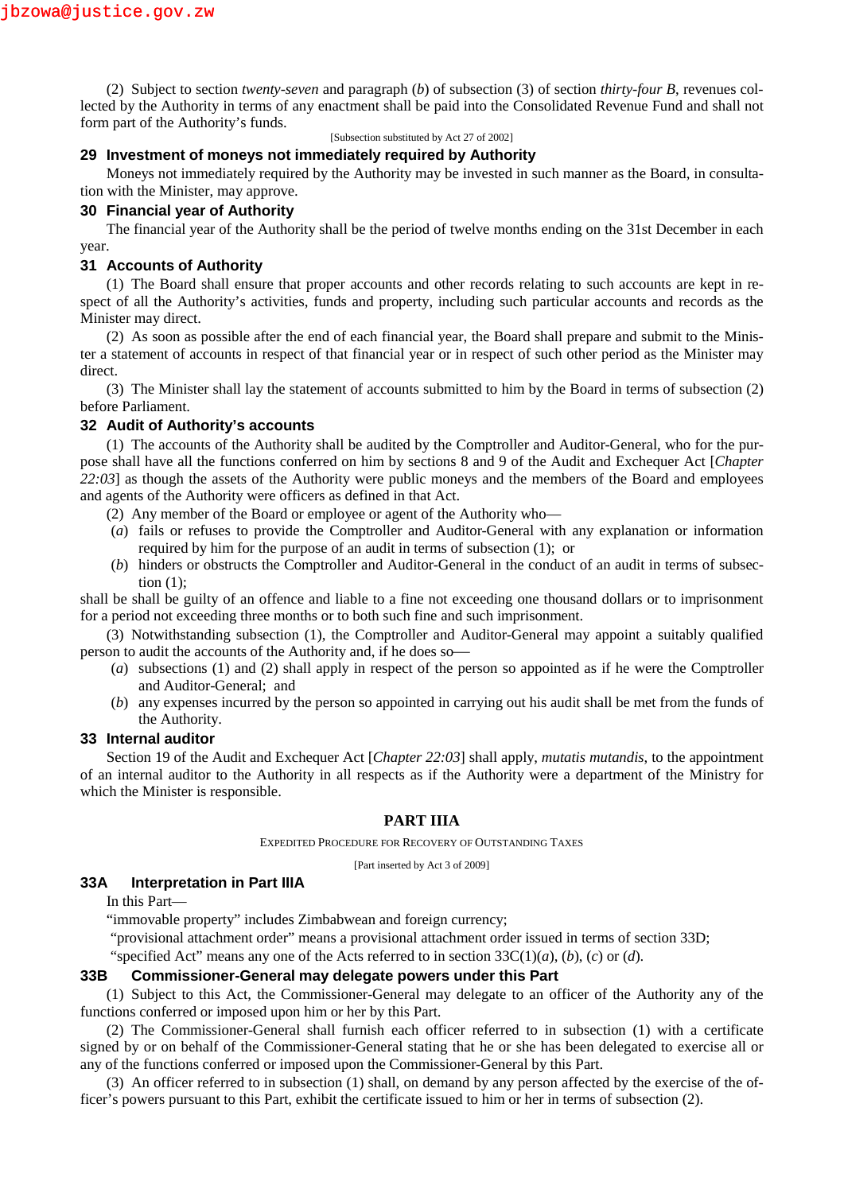(2) Subject to section *twenty-seven* and paragraph (*b*) of subsection (3) of section *thirty-four B*, revenues collected by the Authority in terms of any enactment shall be paid into the Consolidated Revenue Fund and shall not form part of the Authority's funds.

[Subsection substituted by Act 27 of 2002]

### **29 Investment of moneys not immediately required by Authority**

Moneys not immediately required by the Authority may be invested in such manner as the Board, in consultation with the Minister, may approve.

### **30 Financial year of Authority**

The financial year of the Authority shall be the period of twelve months ending on the 31st December in each year.

## **31 Accounts of Authority**

(1) The Board shall ensure that proper accounts and other records relating to such accounts are kept in respect of all the Authority's activities, funds and property, including such particular accounts and records as the Minister may direct.

(2) As soon as possible after the end of each financial year, the Board shall prepare and submit to the Minister a statement of accounts in respect of that financial year or in respect of such other period as the Minister may direct.

(3) The Minister shall lay the statement of accounts submitted to him by the Board in terms of subsection (2) before Parliament.

### **32 Audit of Authority's accounts**

(1) The accounts of the Authority shall be audited by the Comptroller and Auditor-General, who for the purpose shall have all the functions conferred on him by sections 8 and 9 of the Audit and Exchequer Act [*Chapter 22:03*] as though the assets of the Authority were public moneys and the members of the Board and employees and agents of the Authority were officers as defined in that Act.

- (2) Any member of the Board or employee or agent of the Authority who—
- (*a*) fails or refuses to provide the Comptroller and Auditor-General with any explanation or information required by him for the purpose of an audit in terms of subsection (1); or
- (*b*) hinders or obstructs the Comptroller and Auditor-General in the conduct of an audit in terms of subsection  $(1)$ ;

shall be shall be guilty of an offence and liable to a fine not exceeding one thousand dollars or to imprisonment for a period not exceeding three months or to both such fine and such imprisonment.

(3) Notwithstanding subsection (1), the Comptroller and Auditor-General may appoint a suitably qualified person to audit the accounts of the Authority and, if he does so

- (*a*) subsections (1) and (2) shall apply in respect of the person so appointed as if he were the Comptroller and Auditor-General; and
- (*b*) any expenses incurred by the person so appointed in carrying out his audit shall be met from the funds of the Authority.

### **33 Internal auditor**

Section 19 of the Audit and Exchequer Act [*Chapter 22:03*] shall apply, *mutatis mutandis*, to the appointment of an internal auditor to the Authority in all respects as if the Authority were a department of the Ministry for which the Minister is responsible.

### **PART IIIA**

EXPEDITED PROCEDURE FOR RECOVERY OF OUTSTANDING TAXES

[Part inserted by Act 3 of 2009]

## **33A Interpretation in Part IIIA**

In this Part—

"immovable property" includes Zimbabwean and foreign currency;

"provisional attachment order" means a provisional attachment order issued in terms of section 33D;

"specified Act" means any one of the Acts referred to in section 33C(1)(*a*), (*b*), (*c*) or (*d*).

### **33B Commissioner-General may delegate powers under this Part**

(1) Subject to this Act, the Commissioner-General may delegate to an officer of the Authority any of the functions conferred or imposed upon him or her by this Part.

(2) The Commissioner-General shall furnish each officer referred to in subsection (1) with a certificate signed by or on behalf of the Commissioner-General stating that he or she has been delegated to exercise all or any of the functions conferred or imposed upon the Commissioner-General by this Part.

(3) An officer referred to in subsection (1) shall, on demand by any person affected by the exercise of the officer's powers pursuant to this Part, exhibit the certificate issued to him or her in terms of subsection (2).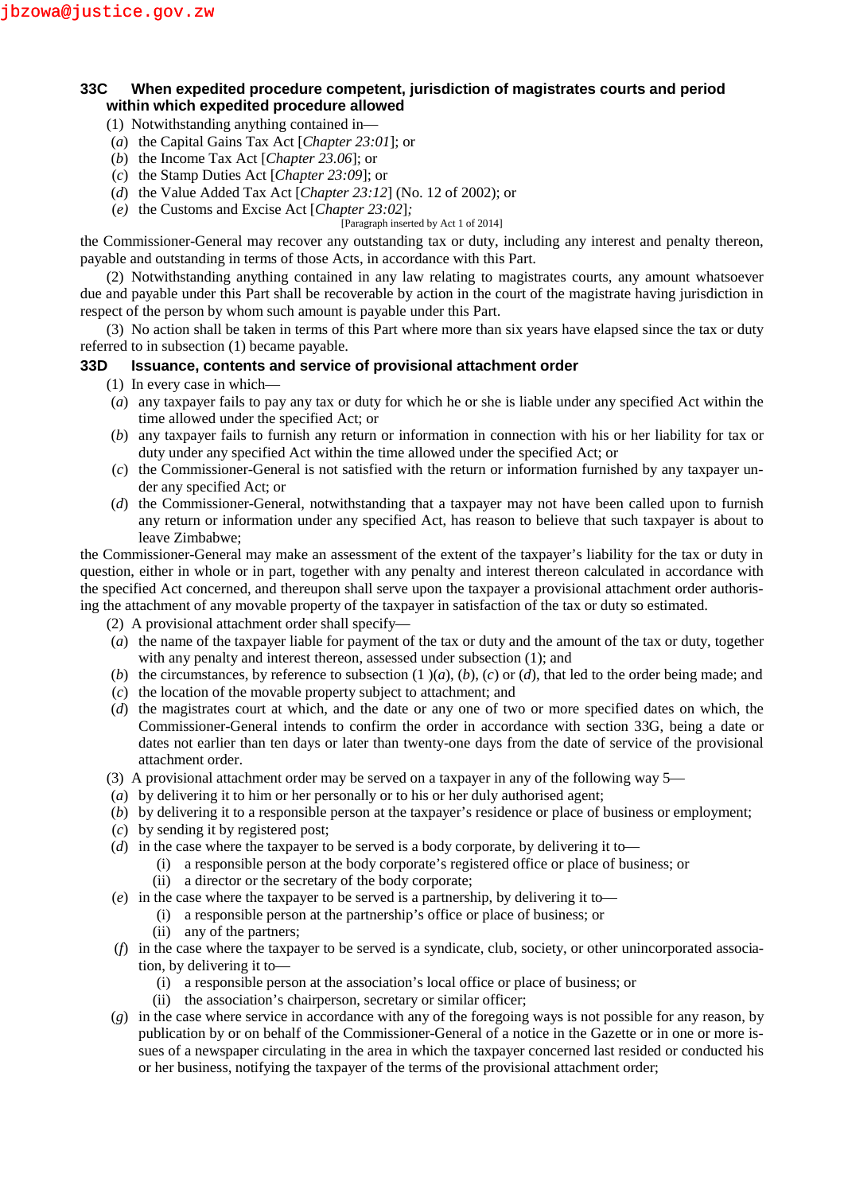# **33C When expedited procedure competent, jurisdiction of magistrates courts and period within which expedited procedure allowed**

- (1) Notwithstanding anything contained in—
- (*a*) the Capital Gains Tax Act [*Chapter 23:01*]; or
- (*b*) the Income Tax Act [*Chapter 23.06*]; or
- (*c*) the Stamp Duties Act [*Chapter 23:09*]; or
- (*d*) the Value Added Tax Act [*Chapter 23:12*] (No. 12 of 2002); or
- (*e)* the Customs and Excise Act [*Chapter 23:02*]*;*

[Paragraph inserted by Act 1 of 2014]

the Commissioner-General may recover any outstanding tax or duty, including any interest and penalty thereon, payable and outstanding in terms of those Acts, in accordance with this Part.

(2) Notwithstanding anything contained in any law relating to magistrates courts, any amount whatsoever due and payable under this Part shall be recoverable by action in the court of the magistrate having jurisdiction in respect of the person by whom such amount is payable under this Part.

(3) No action shall be taken in terms of this Part where more than six years have elapsed since the tax or duty referred to in subsection (1) became payable.

## **33D Issuance, contents and service of provisional attachment order**

- (1) In every case in which—
- (*a*) any taxpayer fails to pay any tax or duty for which he or she is liable under any specified Act within the time allowed under the specified Act; or
- (*b*) any taxpayer fails to furnish any return or information in connection with his or her liability for tax or duty under any specified Act within the time allowed under the specified Act; or
- (*c*) the Commissioner-General is not satisfied with the return or information furnished by any taxpayer under any specified Act; or
- (*d*) the Commissioner-General, notwithstanding that a taxpayer may not have been called upon to furnish any return or information under any specified Act, has reason to believe that such taxpayer is about to leave Zimbabwe;

the Commissioner-General may make an assessment of the extent of the taxpayer's liability for the tax or duty in question, either in whole or in part, together with any penalty and interest thereon calculated in accordance with the specified Act concerned, and thereupon shall serve upon the taxpayer a provisional attachment order authorising the attachment of any movable property of the taxpayer in satisfaction of the tax or duty so estimated.

(2) A provisional attachment order shall specify—

- (*a*) the name of the taxpayer liable for payment of the tax or duty and the amount of the tax or duty, together with any penalty and interest thereon, assessed under subsection (1); and
- (*b*) the circumstances, by reference to subsection  $(1)(a)$ ,  $(b)$ ,  $(c)$  or  $(d)$ , that led to the order being made; and
- (*c*) the location of the movable property subject to attachment; and
- (*d*) the magistrates court at which, and the date or any one of two or more specified dates on which, the Commissioner-General intends to confirm the order in accordance with section 33G, being a date or dates not earlier than ten days or later than twenty-one days from the date of service of the provisional attachment order.
- (3) A provisional attachment order may be served on a taxpayer in any of the following way 5—
- (*a*) by delivering it to him or her personally or to his or her duly authorised agent;
- (*b*) by delivering it to a responsible person at the taxpayer's residence or place of business or employment;
- (*c*) by sending it by registered post;
- (*d*) in the case where the taxpayer to be served is a body corporate, by delivering it to—
	- (i) a responsible person at the body corporate's registered office or place of business; or
	- (ii) a director or the secretary of the body corporate;
- (*e*) in the case where the taxpayer to be served is a partnership, by delivering it to—
	- (i) a responsible person at the partnership's office or place of business; or
	- (ii) any of the partners;
- (*f*) in the case where the taxpayer to be served is a syndicate, club, society, or other unincorporated association, by delivering it to—
	- (i) a responsible person at the association's local office or place of business; or
	- (ii) the association's chairperson, secretary or similar officer;
- (*g*) in the case where service in accordance with any of the foregoing ways is not possible for any reason, by publication by or on behalf of the Commissioner-General of a notice in the Gazette or in one or more issues of a newspaper circulating in the area in which the taxpayer concerned last resided or conducted his or her business, notifying the taxpayer of the terms of the provisional attachment order;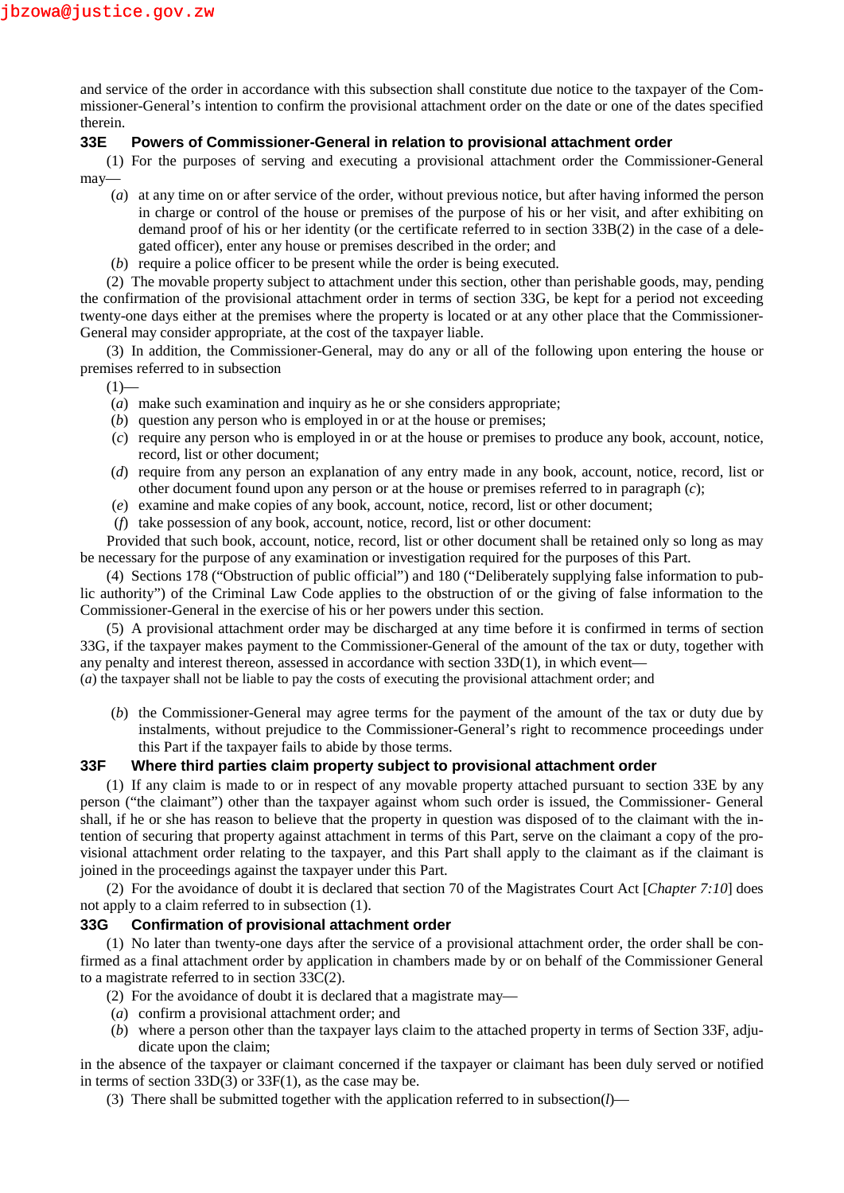and service of the order in accordance with this subsection shall constitute due notice to the taxpayer of the Commissioner-General's intention to confirm the provisional attachment order on the date or one of the dates specified therein.

### **33E Powers of Commissioner-General in relation to provisional attachment order**

(1) For the purposes of serving and executing a provisional attachment order the Commissioner-General may—

- (*a*) at any time on or after service of the order, without previous notice, but after having informed the person in charge or control of the house or premises of the purpose of his or her visit, and after exhibiting on demand proof of his or her identity (or the certificate referred to in section 33B(2) in the case of a delegated officer), enter any house or premises described in the order; and
- (*b*) require a police officer to be present while the order is being executed.

(2) The movable property subject to attachment under this section, other than perishable goods, may, pending the confirmation of the provisional attachment order in terms of section 33G, be kept for a period not exceeding twenty-one days either at the premises where the property is located or at any other place that the Commissioner- General may consider appropriate, at the cost of the taxpayer liable.

(3) In addition, the Commissioner-General, may do any or all of the following upon entering the house or premises referred to in subsection

 $(1)$ —

- (*a*) make such examination and inquiry as he or she considers appropriate;
- (*b*) question any person who is employed in or at the house or premises;
- (*c*) require any person who is employed in or at the house or premises to produce any book, account, notice, record, list or other document;
- (*d*) require from any person an explanation of any entry made in any book, account, notice, record, list or other document found upon any person or at the house or premises referred to in paragraph (*c*);
- (*e*) examine and make copies of any book, account, notice, record, list or other document;
- (*f*) take possession of any book, account, notice, record, list or other document:

Provided that such book, account, notice, record, list or other document shall be retained only so long as may be necessary for the purpose of any examination or investigation required for the purposes of this Part.

(4) Sections 178 ("Obstruction of public official") and 180 ("Deliberately supplying false information to public authority") of the Criminal Law Code applies to the obstruction of or the giving of false information to the Commissioner-General in the exercise of his or her powers under this section.

(5) A provisional attachment order may be discharged at any time before it is confirmed in terms of section 33G, if the taxpayer makes payment to the Commissioner-General of the amount of the tax or duty, together with any penalty and interest thereon, assessed in accordance with section 33D(1), in which event—

(*a*) the taxpayer shall not be liable to pay the costs of executing the provisional attachment order; and

(*b*) the Commissioner-General may agree terms for the payment of the amount of the tax or duty due by instalments, without prejudice to the Commissioner-General's right to recommence proceedings under this Part if the taxpayer fails to abide by those terms.

### **33F Where third parties claim property subject to provisional attachment order**

(1) If any claim is made to or in respect of any movable property attached pursuant to section 33E by any person ("the claimant") other than the taxpayer against whom such order is issued, the Commissioner- General shall, if he or she has reason to believe that the property in question was disposed of to the claimant with the intention of securing that property against attachment in terms of this Part, serve on the claimant a copy of the provisional attachment order relating to the taxpayer, and this Part shall apply to the claimant as if the claimant is joined in the proceedings against the taxpayer under this Part.

(2) For the avoidance of doubt it is declared that section 70 of the Magistrates Court Act [*Chapter 7:10*] does not apply to a claim referred to in subsection (1).

### **33G Confirmation of provisional attachment order**

(1) No later than twenty-one days after the service of a provisional attachment order, the order shall be confirmed as a final attachment order by application in chambers made by or on behalf of the Commissioner General to a magistrate referred to in section 33C(2).

- (2) For the avoidance of doubt it is declared that a magistrate may—
- (*a*) confirm a provisional attachment order; and
- (*b*) where a person other than the taxpayer lays claim to the attached property in terms of Section 33F, adjudicate upon the claim;

in the absence of the taxpayer or claimant concerned if the taxpayer or claimant has been duly served or notified in terms of section 33D(3) or 33F(1), as the case may be.

(3) There shall be submitted together with the application referred to in subsection(*l*)—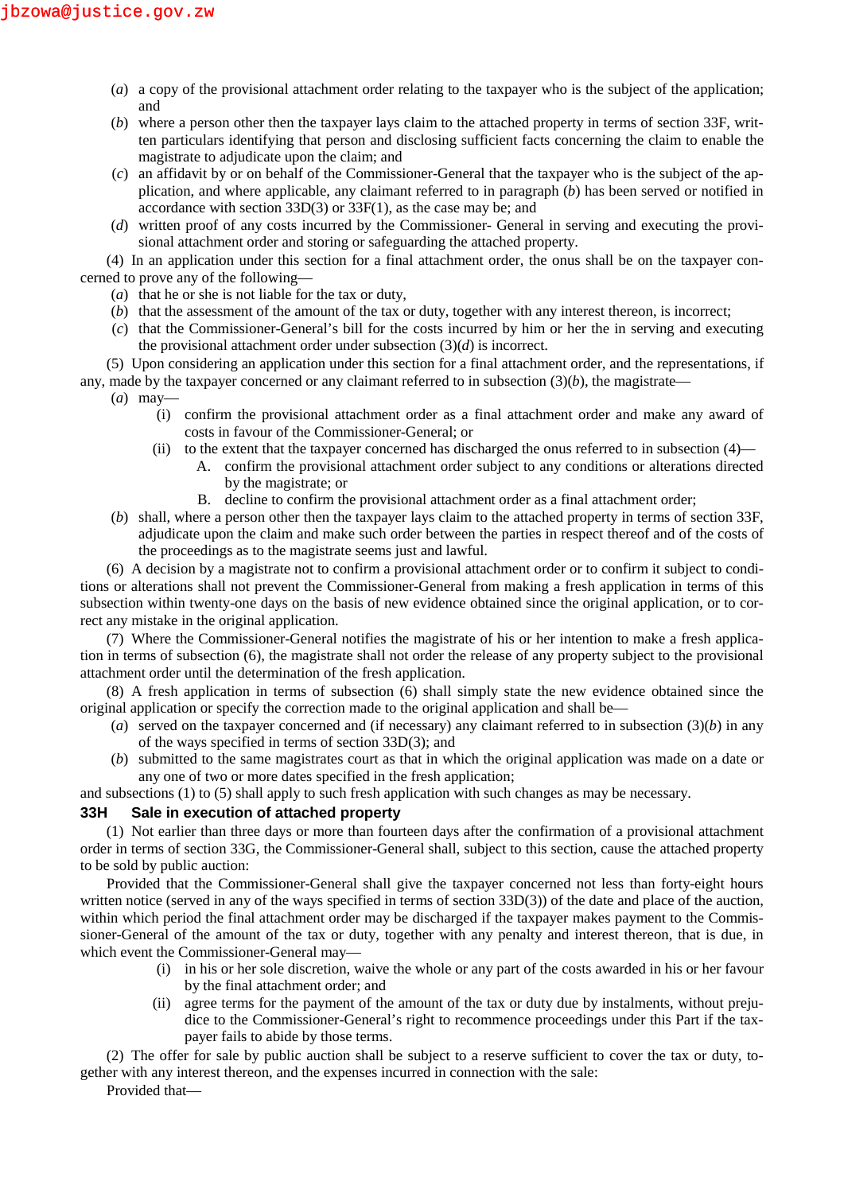- (*a*) a copy of the provisional attachment order relating to the taxpayer who is the subject of the application; and
- (*b*) where a person other then the taxpayer lays claim to the attached property in terms of section 33F, written particulars identifying that person and disclosing sufficient facts concerning the claim to enable the magistrate to adjudicate upon the claim; and
- (*c*) an affidavit by or on behalf of the Commissioner-General that the taxpayer who is the subject of the application, and where applicable, any claimant referred to in paragraph (*b*) has been served or notified in accordance with section 33D(3) or 33F(1), as the case may be; and
- (*d*) written proof of any costs incurred by the Commissioner- General in serving and executing the provisional attachment order and storing or safeguarding the attached property.

(4) In an application under this section for a final attachment order, the onus shall be on the taxpayer concerned to prove any of the following—

- (*a*) that he or she is not liable for the tax or duty,
- (*b*) that the assessment of the amount of the tax or duty, together with any interest thereon, is incorrect;
- (*c*) that the Commissioner-General's bill for the costs incurred by him or her the in serving and executing the provisional attachment order under subsection (3)(*d*) is incorrect.

(5) Upon considering an application under this section for a final attachment order, and the representations, if any, made by the taxpayer concerned or any claimant referred to in subsection  $(3)(b)$ , the magistrate—

- (*a*) may—
	- (i) confirm the provisional attachment order as a final attachment order and make any award of costs in favour of the Commissioner-General; or
	- (ii) to the extent that the taxpayer concerned has discharged the onus referred to in subsection (4)—
		- A. confirm the provisional attachment order subject to any conditions or alterations directed by the magistrate; or
			- B. decline to confirm the provisional attachment order as a final attachment order;
- (*b*) shall, where a person other then the taxpayer lays claim to the attached property in terms of section 33F, adjudicate upon the claim and make such order between the parties in respect thereof and of the costs of the proceedings as to the magistrate seems just and lawful.

(6) A decision by a magistrate not to confirm a provisional attachment order or to confirm it subject to conditions or alterations shall not prevent the Commissioner-General from making a fresh application in terms of this subsection within twenty-one days on the basis of new evidence obtained since the original application, or to correct any mistake in the original application.

(7) Where the Commissioner-General notifies the magistrate of his or her intention to make a fresh application in terms of subsection (6), the magistrate shall not order the release of any property subject to the provisional attachment order until the determination of the fresh application.

(8) A fresh application in terms of subsection (6) shall simply state the new evidence obtained since the original application or specify the correction made to the original application and shall be—

- (*a*) served on the taxpayer concerned and (if necessary) any claimant referred to in subsection  $(3)(b)$  in any of the ways specified in terms of section 33D(3); and
- (*b*) submitted to the same magistrates court as that in which the original application was made on a date or any one of two or more dates specified in the fresh application;

and subsections (1) to (5) shall apply to such fresh application with such changes as may be necessary.

# **33H Sale in execution of attached property**

(1) Not earlier than three days or more than fourteen days after the confirmation of a provisional attachment order in terms of section 33G, the Commissioner-General shall, subject to this section, cause the attached property to be sold by public auction:

Provided that the Commissioner-General shall give the taxpayer concerned not less than forty-eight hours written notice (served in any of the ways specified in terms of section 33D(3)) of the date and place of the auction, within which period the final attachment order may be discharged if the taxpayer makes payment to the Commissioner-General of the amount of the tax or duty, together with any penalty and interest thereon, that is due, in which event the Commissioner-General may—

- (i) in his or her sole discretion, waive the whole or any part of the costs awarded in his or her favour by the final attachment order; and
- (ii) agree terms for the payment of the amount of the tax or duty due by instalments, without prejudice to the Commissioner-General's right to recommence proceedings under this Part if the taxpayer fails to abide by those terms.

(2) The offer for sale by public auction shall be subject to a reserve sufficient to cover the tax or duty, together with any interest thereon, and the expenses incurred in connection with the sale:

Provided that—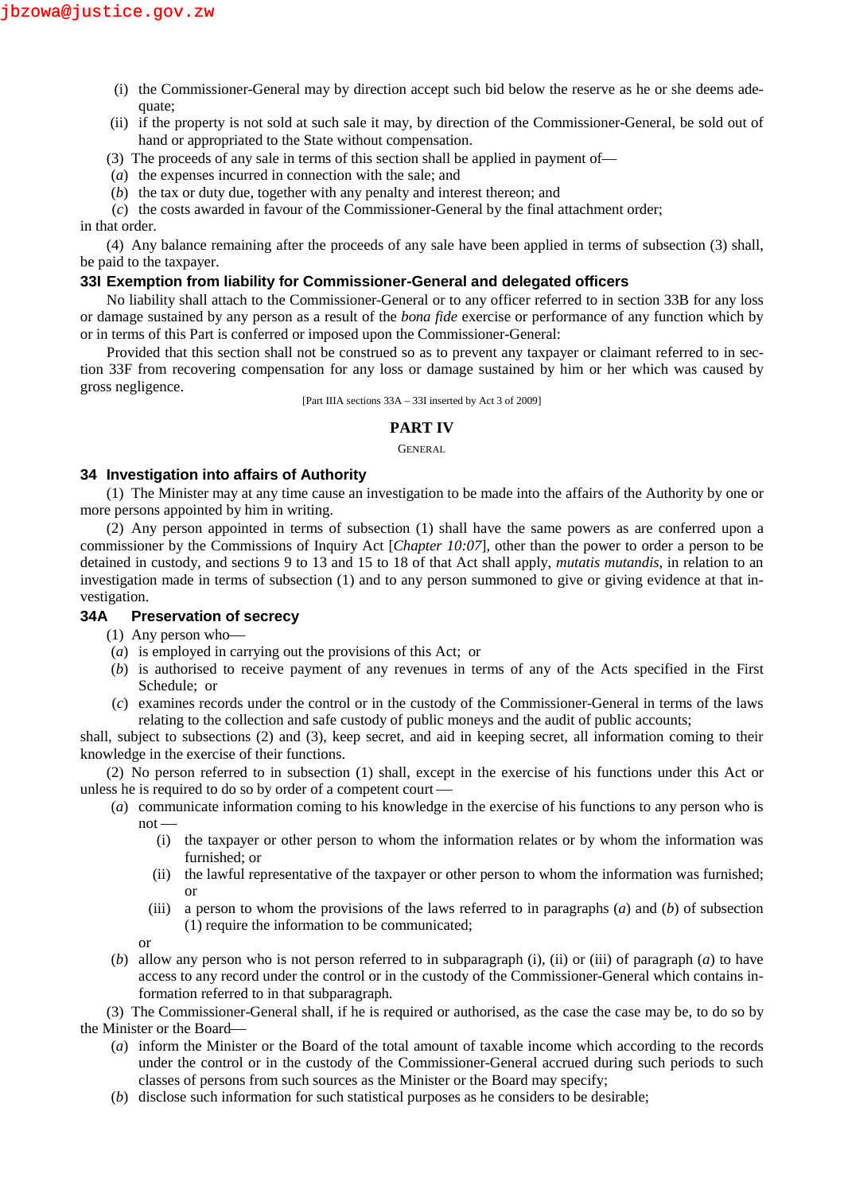- (i) the Commissioner-General may by direction accept such bid below the reserve as he or she deems adequate;
- (ii) if the property is not sold at such sale it may, by direction of the Commissioner-General, be sold out of hand or appropriated to the State without compensation.
- (3) The proceeds of any sale in terms of this section shall be applied in payment of—
- (*a*) the expenses incurred in connection with the sale; and
- (*b*) the tax or duty due, together with any penalty and interest thereon; and

(*c*) the costs awarded in favour of the Commissioner-General by the final attachment order; in that order.

(4) Any balance remaining after the proceeds of any sale have been applied in terms of subsection (3) shall, be paid to the taxpayer.

## **33I Exemption from liability for Commissioner-General and delegated officers**

No liability shall attach to the Commissioner-General or to any officer referred to in section 33B for any loss or damage sustained by any person as a result of the *bona fide* exercise or performance of any function which by or in terms of this Part is conferred or imposed upon the Commissioner-General:

Provided that this section shall not be construed so as to prevent any taxpayer or claimant referred to in section 33F from recovering compensation for any loss or damage sustained by him or her which was caused by gross negligence.

[Part IIIA sections 33A – 33I inserted by Act 3 of 2009]

## **PART IV**

GENERAL

### **34 Investigation into affairs of Authority**

(1) The Minister may at any time cause an investigation to be made into the affairs of the Authority by one or more persons appointed by him in writing.

(2) Any person appointed in terms of subsection (1) shall have the same powers as are conferred upon a commissioner by the Commissions of Inquiry Act [*Chapter 10:07*], other than the power to order a person to be detained in custody, and sections 9 to 13 and 15 to 18 of that Act shall apply, *mutatis mutandis*, in relation to an investigation made in terms of subsection (1) and to any person summoned to give or giving evidence at that investigation.

## **34A Preservation of secrecy**

- (1) Any person who
- (*a*) is employed in carrying out the provisions of this Act; or
- (*b*) is authorised to receive payment of any revenues in terms of any of the Acts specified in the First Schedule; or
- (*c*) examines records under the control or in the custody of the Commissioner-General in terms of the laws relating to the collection and safe custody of public moneys and the audit of public accounts;

shall, subject to subsections (2) and (3), keep secret, and aid in keeping secret, all information coming to their knowledge in the exercise of their functions.

(2) No person referred to in subsection (1) shall, except in the exercise of his functions under this Act or unless he is required to do so by order of a competent court

- (*a*) communicate information coming to his knowledge in the exercise of his functions to any person who is not
	- (i) the taxpayer or other person to whom the information relates or by whom the information was furnished; or
	- (ii) the lawful representative of the taxpayer or other person to whom the information was furnished; or
	- (iii) a person to whom the provisions of the laws referred to in paragraphs (*a*) and (*b*) of subsection (1) require the information to be communicated;

or

(*b*) allow any person who is not person referred to in subparagraph (i), (ii) or (iii) of paragraph (*a*) to have access to any record under the control or in the custody of the Commissioner-General which contains information referred to in that subparagraph.

(3) The Commissioner-General shall, if he is required or authorised, as the case the case may be, to do so by the Minister or the Board

- (*a*) inform the Minister or the Board of the total amount of taxable income which according to the records under the control or in the custody of the Commissioner-General accrued during such periods to such classes of persons from such sources as the Minister or the Board may specify;
- (*b*) disclose such information for such statistical purposes as he considers to be desirable;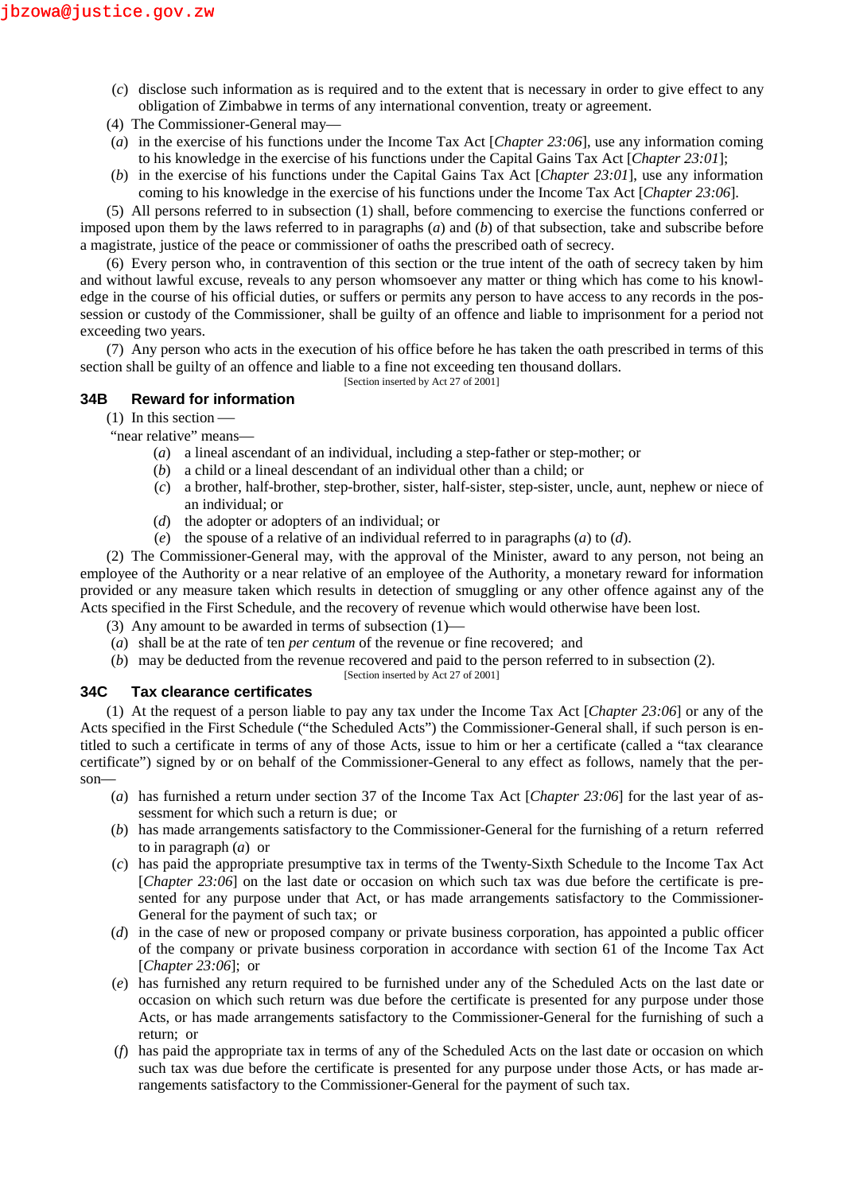- (*c*) disclose such information as is required and to the extent that is necessary in order to give effect to any obligation of Zimbabwe in terms of any international convention, treaty or agreement.
- (4) The Commissioner-General may—
- (*a*) in the exercise of his functions under the Income Tax Act [*Chapter 23:06*], use any information coming to his knowledge in the exercise of his functions under the Capital Gains Tax Act [*Chapter 23:01*];
- (*b*) in the exercise of his functions under the Capital Gains Tax Act [*Chapter 23:01*], use any information coming to his knowledge in the exercise of his functions under the Income Tax Act [*Chapter 23:06*].

(5) All persons referred to in subsection (1) shall, before commencing to exercise the functions conferred or imposed upon them by the laws referred to in paragraphs (*a*) and (*b*) of that subsection, take and subscribe before a magistrate, justice of the peace or commissioner of oaths the prescribed oath of secrecy.

(6) Every person who, in contravention of this section or the true intent of the oath of secrecy taken by him and without lawful excuse, reveals to any person whomsoever any matter or thing which has come to his knowledge in the course of his official duties, or suffers or permits any person to have access to any records in the possession or custody of the Commissioner, shall be guilty of an offence and liable to imprisonment for a period not exceeding two years.

(7) Any person who acts in the execution of his office before he has taken the oath prescribed in terms of this section shall be guilty of an offence and liable to a fine not exceeding ten thousand dollars.

[Section inserted by Act 27 of 2001]

## **34B Reward for information**

(1) In this section

- "near relative" means—
	- (*a*) a lineal ascendant of an individual, including a step-father or step-mother; or
	- (*b*) a child or a lineal descendant of an individual other than a child; or
	- (*c*) a brother, half-brother, step-brother, sister, half-sister, step-sister, uncle, aunt, nephew or niece of an individual; or
	- (*d*) the adopter or adopters of an individual; or
	- (*e*) the spouse of a relative of an individual referred to in paragraphs (*a*) to (*d*).

(2) The Commissioner-General may, with the approval of the Minister, award to any person, not being an employee of the Authority or a near relative of an employee of the Authority, a monetary reward for information provided or any measure taken which results in detection of smuggling or any other offence against any of the Acts specified in the First Schedule, and the recovery of revenue which would otherwise have been lost.

- (3) Any amount to be awarded in terms of subsection (1)
- (*a*) shall be at the rate of ten *per centum* of the revenue or fine recovered; and
- (*b*) may be deducted from the revenue recovered and paid to the person referred to in subsection (2). [Section inserted by Act 27 of 2001]

## **34C Tax clearance certificates**

(1) At the request of a person liable to pay any tax under the Income Tax Act [*Chapter 23:06*] or any of the Acts specified in the First Schedule ("the Scheduled Acts") the Commissioner-General shall, if such person is entitled to such a certificate in terms of any of those Acts, issue to him or her a certificate (called a "tax clearance certificate") signed by or on behalf of the Commissioner-General to any effect as follows, namely that the person—

- (*a*) has furnished a return under section 37 of the Income Tax Act [*Chapter 23:06*] for the last year of assessment for which such a return is due; or
- (*b*) has made arrangements satisfactory to the Commissioner-General for the furnishing of a return referred to in paragraph (*a*) or
- (*c*) has paid the appropriate presumptive tax in terms of the Twenty-Sixth Schedule to the Income Tax Act [*Chapter 23:06*] on the last date or occasion on which such tax was due before the certificate is presented for any purpose under that Act, or has made arrangements satisfactory to the Commissioner- General for the payment of such tax; or
- (*d*) in the case of new or proposed company or private business corporation, has appointed a public officer of the company or private business corporation in accordance with section 61 of the Income Tax Act [*Chapter 23:06*]; or
- (*e*) has furnished any return required to be furnished under any of the Scheduled Acts on the last date or occasion on which such return was due before the certificate is presented for any purpose under those Acts, or has made arrangements satisfactory to the Commissioner-General for the furnishing of such a return; or
- (*f*) has paid the appropriate tax in terms of any of the Scheduled Acts on the last date or occasion on which such tax was due before the certificate is presented for any purpose under those Acts, or has made arrangements satisfactory to the Commissioner-General for the payment of such tax.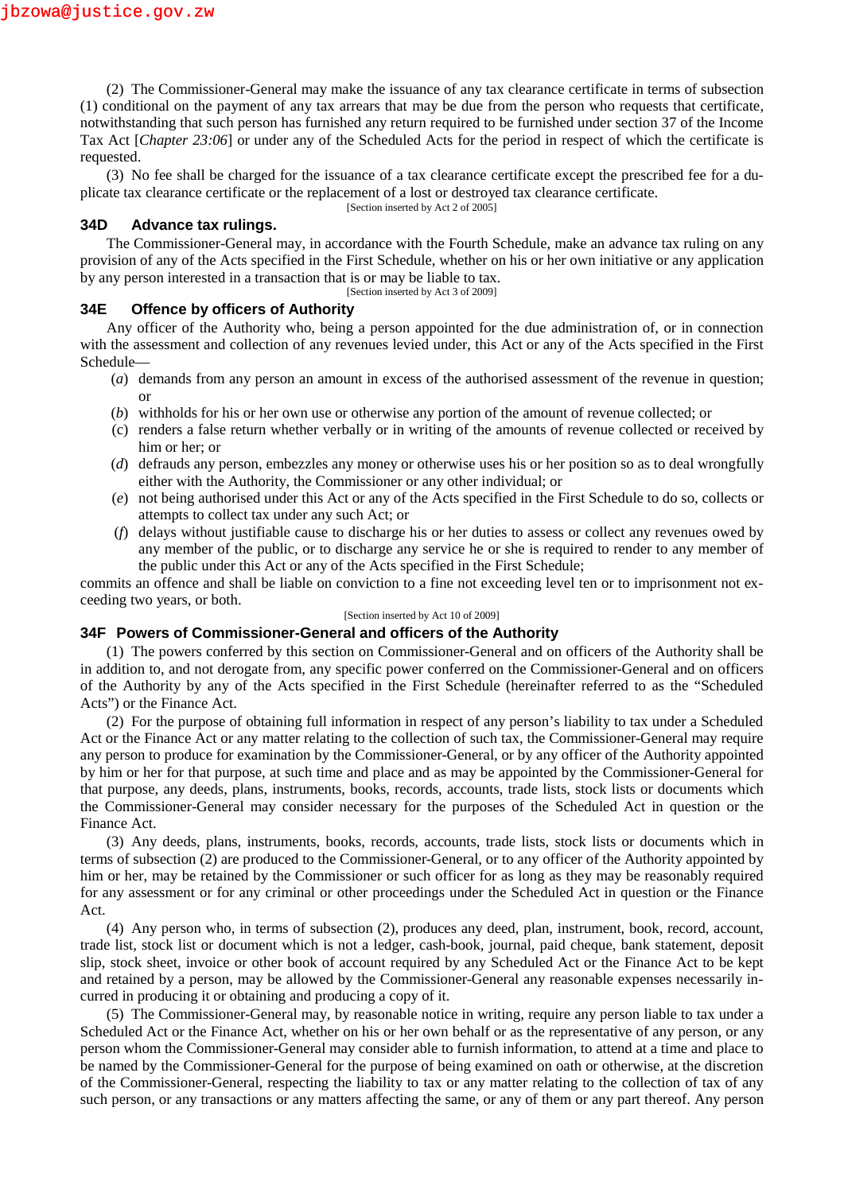(2) The Commissioner-General may make the issuance of any tax clearance certificate in terms of subsection (1) conditional on the payment of any tax arrears that may be due from the person who requests that certificate, notwithstanding that such person has furnished any return required to be furnished under section 37 of the Income Tax Act [*Chapter 23:06*] or under any of the Scheduled Acts for the period in respect of which the certificate is requested.

(3) No fee shall be charged for the issuance of a tax clearance certificate except the prescribed fee for a duplicate tax clearance certificate or the replacement of a lost or destroyed tax clearance certificate.

[Section inserted by Act 2 of 2005]

### **34D Advance tax rulings.**

The Commissioner-General may, in accordance with the Fourth Schedule, make an advance tax ruling on any provision of any of the Acts specified in the First Schedule, whether on his or her own initiative or any application by any person interested in a transaction that is or may be liable to tax.

[Section inserted by Act 3 of 2009]

### **34E Offence by officers of Authority**

Any officer of the Authority who, being a person appointed for the due administration of, or in connection with the assessment and collection of any revenues levied under, this Act or any of the Acts specified in the First Schedule—

- (*a*) demands from any person an amount in excess of the authorised assessment of the revenue in question; or
- (*b*) withholds for his or her own use or otherwise any portion of the amount of revenue collected; or
- (c) renders a false return whether verbally or in writing of the amounts of revenue collected or received by him or her; or
- (*d*) defrauds any person, embezzles any money or otherwise uses his or her position so as to deal wrongfully either with the Authority, the Commissioner or any other individual; or
- (*e*) not being authorised under this Act or any of the Acts specified in the First Schedule to do so, collects or attempts to collect tax under any such Act; or
- (*f*) delays without justifiable cause to discharge his or her duties to assess or collect any revenues owed by any member of the public, or to discharge any service he or she is required to render to any member of the public under this Act or any of the Acts specified in the First Schedule;

commits an offence and shall be liable on conviction to a fine not exceeding level ten or to imprisonment not exceeding two years, or both.

#### [Section inserted by Act 10 of 2009]

#### **34F Powers of Commissioner-General and officers of the Authority**

(1) The powers conferred by this section on Commissioner-General and on officers of the Authority shall be in addition to, and not derogate from, any specific power conferred on the Commissioner-General and on officers of the Authority by any of the Acts specified in the First Schedule (hereinafter referred to as the "Scheduled Acts") or the Finance Act.

(2) For the purpose of obtaining full information in respect of any person's liability to tax under a Scheduled Act or the Finance Act or any matter relating to the collection of such tax, the Commissioner-General may require any person to produce for examination by the Commissioner-General, or by any officer of the Authority appointed by him or her for that purpose, at such time and place and as may be appointed by the Commissioner-General for that purpose, any deeds, plans, instruments, books, records, accounts, trade lists, stock lists or documents which the Commissioner-General may consider necessary for the purposes of the Scheduled Act in question or the Finance Act.

(3) Any deeds, plans, instruments, books, records, accounts, trade lists, stock lists or documents which in terms of subsection (2) are produced to the Commissioner-General, or to any officer of the Authority appointed by him or her, may be retained by the Commissioner or such officer for as long as they may be reasonably required for any assessment or for any criminal or other proceedings under the Scheduled Act in question or the Finance Act.

(4) Any person who, in terms of subsection (2), produces any deed, plan, instrument, book, record, account, trade list, stock list or document which is not a ledger, cash-book, journal, paid cheque, bank statement, deposit slip, stock sheet, invoice or other book of account required by any Scheduled Act or the Finance Act to be kept and retained by a person, may be allowed by the Commissioner-General any reasonable expenses necessarily incurred in producing it or obtaining and producing a copy of it.

(5) The Commissioner-General may, by reasonable notice in writing, require any person liable to tax under a Scheduled Act or the Finance Act, whether on his or her own behalf or as the representative of any person, or any person whom the Commissioner-General may consider able to furnish information, to attend at a time and place to be named by the Commissioner-General for the purpose of being examined on oath or otherwise, at the discretion of the Commissioner-General, respecting the liability to tax or any matter relating to the collection of tax of any such person, or any transactions or any matters affecting the same, or any of them or any part thereof. Any person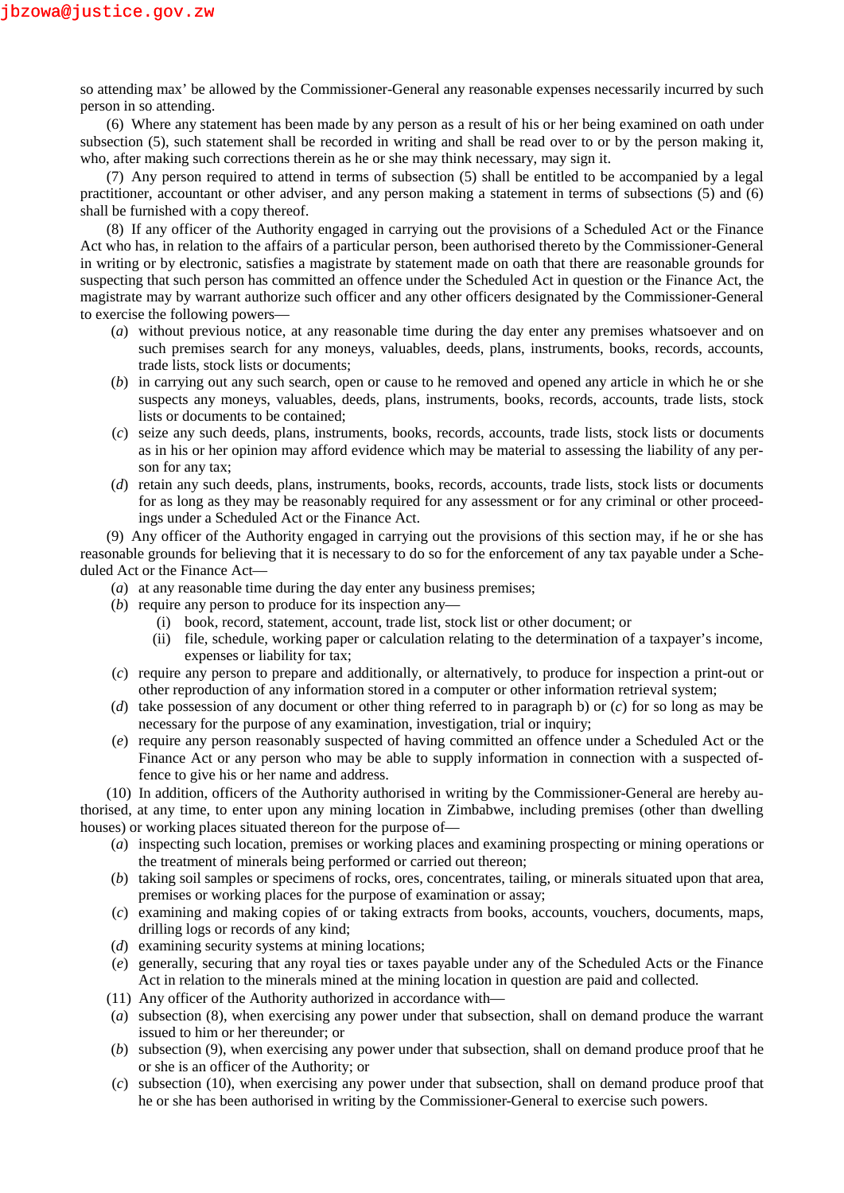so attending max' be allowed by the Commissioner-General any reasonable expenses necessarily incurred by such person in so attending.

(6) Where any statement has been made by any person as a result of his or her being examined on oath under subsection (5), such statement shall be recorded in writing and shall be read over to or by the person making it, who, after making such corrections therein as he or she may think necessary, may sign it.

(7) Any person required to attend in terms of subsection (5) shall be entitled to be accompanied by a legal practitioner, accountant or other adviser, and any person making a statement in terms of subsections (5) and (6) shall be furnished with a copy thereof.

(8) If any officer of the Authority engaged in carrying out the provisions of a Scheduled Act or the Finance Act who has, in relation to the affairs of a particular person, been authorised thereto by the Commissioner-General in writing or by electronic, satisfies a magistrate by statement made on oath that there are reasonable grounds for suspecting that such person has committed an offence under the Scheduled Act in question or the Finance Act, the magistrate may by warrant authorize such officer and any other officers designated by the Commissioner-General to exercise the following powers—

- (*a*) without previous notice, at any reasonable time during the day enter any premises whatsoever and on such premises search for any moneys, valuables, deeds, plans, instruments, books, records, accounts, trade lists, stock lists or documents;
- (*b*) in carrying out any such search, open or cause to he removed and opened any article in which he or she suspects any moneys, valuables, deeds, plans, instruments, books, records, accounts, trade lists, stock lists or documents to be contained;
- (*c*) seize any such deeds, plans, instruments, books, records, accounts, trade lists, stock lists or documents as in his or her opinion may afford evidence which may be material to assessing the liability of any person for any tax;
- (*d*) retain any such deeds, plans, instruments, books, records, accounts, trade lists, stock lists or documents for as long as they may be reasonably required for any assessment or for any criminal or other proceedings under a Scheduled Act or the Finance Act.

(9) Any officer of the Authority engaged in carrying out the provisions of this section may, if he or she has reasonable grounds for believing that it is necessary to do so for the enforcement of any tax payable under a Scheduled Act or the Finance Act—

- (*a*) at any reasonable time during the day enter any business premises;
- (*b*) require any person to produce for its inspection any—
	- (i) book, record, statement, account, trade list, stock list or other document; or
	- (ii) file, schedule, working paper or calculation relating to the determination of a taxpayer's income, expenses or liability for tax;
- (*c*) require any person to prepare and additionally, or alternatively, to produce for inspection a print-out or other reproduction of any information stored in a computer or other information retrieval system;
- (*d*) take possession of any document or other thing referred to in paragraph b) or (*c*) for so long as may be necessary for the purpose of any examination, investigation, trial or inquiry;
- (*e*) require any person reasonably suspected of having committed an offence under a Scheduled Act or the Finance Act or any person who may be able to supply information in connection with a suspected offence to give his or her name and address.

(10) In addition, officers of the Authority authorised in writing by the Commissioner-General are hereby authorised, at any time, to enter upon any mining location in Zimbabwe, including premises (other than dwelling houses) or working places situated thereon for the purpose of—

- (*a*) inspecting such location, premises or working places and examining prospecting or mining operations or the treatment of minerals being performed or carried out thereon;
- (*b*) taking soil samples or specimens of rocks, ores, concentrates, tailing, or minerals situated upon that area, premises or working places for the purpose of examination or assay;
- (*c*) examining and making copies of or taking extracts from books, accounts, vouchers, documents, maps, drilling logs or records of any kind;
- (*d*) examining security systems at mining locations;
- (*e*) generally, securing that any royal ties or taxes payable under any of the Scheduled Acts or the Finance Act in relation to the minerals mined at the mining location in question are paid and collected.
- (11) Any officer of the Authority authorized in accordance with—
- (*a*) subsection (8), when exercising any power under that subsection, shall on demand produce the warrant issued to him or her thereunder; or
- (*b*) subsection (9), when exercising any power under that subsection, shall on demand produce proof that he or she is an officer of the Authority; or
- (*c*) subsection (10), when exercising any power under that subsection, shall on demand produce proof that he or she has been authorised in writing by the Commissioner-General to exercise such powers.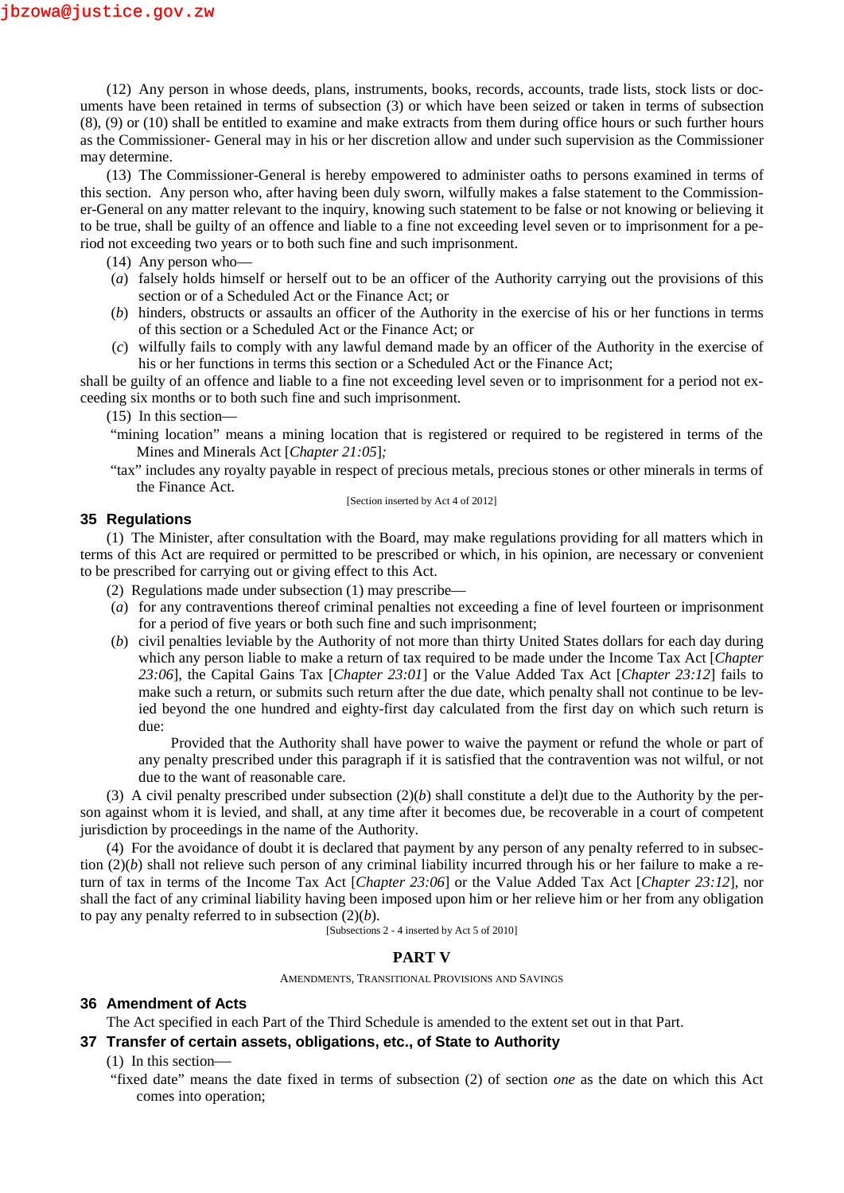(12) Any person in whose deeds, plans, instruments, books, records, accounts, trade lists, stock lists or documents have been retained in terms of subsection (3) or which have been seized or taken in terms of subsection (8), (9) or (10) shall be entitled to examine and make extracts from them during office hours or such further hours as the Commissioner- General may in his or her discretion allow and under such supervision as the Commissioner may determine.

(13) The Commissioner-General is hereby empowered to administer oaths to persons examined in terms of this section. Any person who, after having been duly sworn, wilfully makes a false statement to the Commissioner-General on any matter relevant to the inquiry, knowing such statement to be false or not knowing or believing it to be true, shall be guilty of an offence and liable to a fine not exceeding level seven or to imprisonment for a period not exceeding two years or to both such fine and such imprisonment.

- (14) Any person who—
- (*a*) falsely holds himself or herself out to be an officer of the Authority carrying out the provisions of this section or of a Scheduled Act or the Finance Act; or
- (*b*) hinders, obstructs or assaults an officer of the Authority in the exercise of his or her functions in terms of this section or a Scheduled Act or the Finance Act; or
- (*c*) wilfully fails to comply with any lawful demand made by an officer of the Authority in the exercise of his or her functions in terms this section or a Scheduled Act or the Finance Act;

shall be guilty of an offence and liable to a fine not exceeding level seven or to imprisonment for a period not exceeding six months or to both such fine and such imprisonment.

(15) In this section—

- "mining location" means a mining location that is registered or required to be registered in terms of the Mines and Minerals Act [*Chapter 21:05*]*;*
- "tax" includes any royalty payable in respect of precious metals, precious stones or other minerals in terms of the Finance Act.

[Section inserted by Act 4 of 2012]

### **35 Regulations**

(1) The Minister, after consultation with the Board, may make regulations providing for all matters which in terms of this Act are required or permitted to be prescribed or which, in his opinion, are necessary or convenient to be prescribed for carrying out or giving effect to this Act.

- (2) Regulations made under subsection (1) may prescribe—
- (*a*) for any contraventions thereof criminal penalties not exceeding a fine of level fourteen or imprisonment for a period of five years or both such fine and such imprisonment;
- (*b*) civil penalties leviable by the Authority of not more than thirty United States dollars for each day during which any person liable to make a return of tax required to be made under the Income Tax Act [*Chapter 23:06*], the Capital Gains Tax [*Chapter 23:01*] or the Value Added Tax Act [*Chapter 23:12*] fails to make such a return, or submits such return after the due date, which penalty shall not continue to be levied beyond the one hundred and eighty-first day calculated from the first day on which such return is due:

Provided that the Authority shall have power to waive the payment or refund the whole or part of any penalty prescribed under this paragraph if it is satisfied that the contravention was not wilful, or not due to the want of reasonable care.

(3) A civil penalty prescribed under subsection  $(2)(b)$  shall constitute a del)t due to the Authority by the person against whom it is levied, and shall, at any time after it becomes due, be recoverable in a court of competent jurisdiction by proceedings in the name of the Authority.

(4) For the avoidance of doubt it is declared that payment by any person of any penalty referred to in subsection (2)(*b*) shall not relieve such person of any criminal liability incurred through his or her failure to make a return of tax in terms of the Income Tax Act [*Chapter 23:06*] or the Value Added Tax Act [*Chapter 23:12*], nor shall the fact of any criminal liability having been imposed upon him or her relieve him or her from any obligation to pay any penalty referred to in subsection (2)(*b*).

[Subsections 2 - 4 inserted by Act 5 of 2010]

#### **PART V**

AMENDMENTS, TRANSITIONAL PROVISIONS AND SAVINGS

### **36 Amendment of Acts**

The Act specified in each Part of the Third Schedule is amended to the extent set out in that Part.

#### **37 Transfer of certain assets, obligations, etc., of State to Authority**

(1) In this section

"fixed date" means the date fixed in terms of subsection (2) of section *one* as the date on which this Act comes into operation;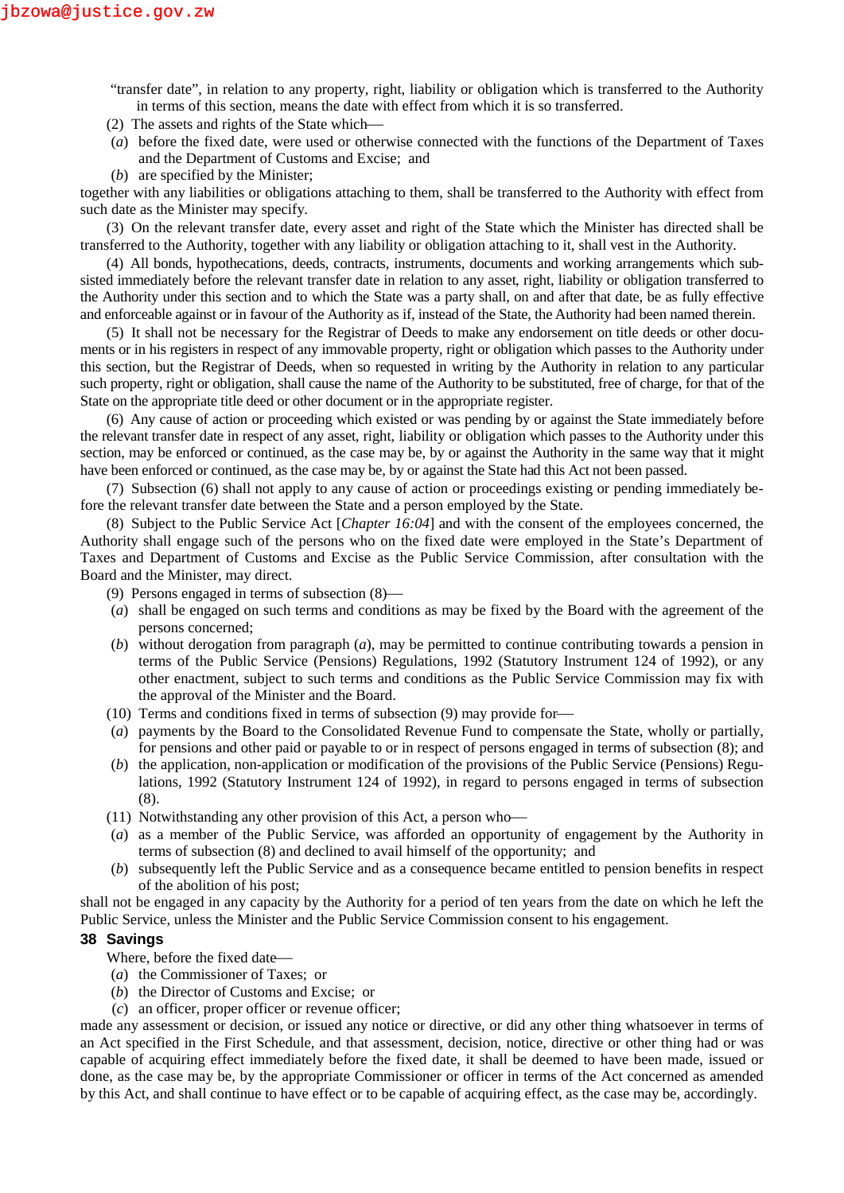"transfer date", in relation to any property, right, liability or obligation which is transferred to the Authority in terms of this section, means the date with effect from which it is so transferred.

- (2) The assets and rights of the State which
- (*a*) before the fixed date, were used or otherwise connected with the functions of the Department of Taxes and the Department of Customs and Excise; and
- (*b*) are specified by the Minister;

together with any liabilities or obligations attaching to them, shall be transferred to the Authority with effect from such date as the Minister may specify.

(3) On the relevant transfer date, every asset and right of the State which the Minister has directed shall be transferred to the Authority, together with any liability or obligation attaching to it, shall vest in the Authority.

(4) All bonds, hypothecations, deeds, contracts, instruments, documents and working arrangements which subsisted immediately before the relevant transfer date in relation to any asset, right, liability or obligation transferred to the Authority under this section and to which the State was a party shall, on and after that date, be as fully effective and enforceable against or in favour of the Authority as if, instead of the State, the Authority had been named therein.

(5) It shall not be necessary for the Registrar of Deeds to make any endorsement on title deeds or other documents or in his registers in respect of any immovable property, right or obligation which passes to the Authority under this section, but the Registrar of Deeds, when so requested in writing by the Authority in relation to any particular such property, right or obligation, shall cause the name of the Authority to be substituted, free of charge, for that of the State on the appropriate title deed or other document or in the appropriate register.

(6) Any cause of action or proceeding which existed or was pending by or against the State immediately before the relevant transfer date in respect of any asset, right, liability or obligation which passes to the Authority under this section, may be enforced or continued, as the case may be, by or against the Authority in the same way that it might have been enforced or continued, as the case may be, by or against the State had this Act not been passed.

(7) Subsection (6) shall not apply to any cause of action or proceedings existing or pending immediately before the relevant transfer date between the State and a person employed by the State.

(8) Subject to the Public Service Act [*Chapter 16:04*] and with the consent of the employees concerned, the Authority shall engage such of the persons who on the fixed date were employed in the State's Department of Taxes and Department of Customs and Excise as the Public Service Commission, after consultation with the Board and the Minister, may direct.

(9) Persons engaged in terms of subsection (8)

- (*a*) shall be engaged on such terms and conditions as may be fixed by the Board with the agreement of the persons concerned;
- (*b*) without derogation from paragraph (*a*), may be permitted to continue contributing towards a pension in terms of the Public Service (Pensions) Regulations, 1992 (Statutory Instrument 124 of 1992), or any other enactment, subject to such terms and conditions as the Public Service Commission may fix with the approval of the Minister and the Board.
- (10) Terms and conditions fixed in terms of subsection (9) may provide for
- (*a*) payments by the Board to the Consolidated Revenue Fund to compensate the State, wholly or partially, for pensions and other paid or payable to or in respect of persons engaged in terms of subsection (8); and
- (*b*) the application, non-application or modification of the provisions of the Public Service (Pensions) Regulations, 1992 (Statutory Instrument 124 of 1992), in regard to persons engaged in terms of subsection (8).
- (11) Notwithstanding any other provision of this Act, a person who
- (*a*) as a member of the Public Service, was afforded an opportunity of engagement by the Authority in terms of subsection (8) and declined to avail himself of the opportunity; and
- (*b*) subsequently left the Public Service and as a consequence became entitled to pension benefits in respect of the abolition of his post;

shall not be engaged in any capacity by the Authority for a period of ten years from the date on which he left the Public Service, unless the Minister and the Public Service Commission consent to his engagement.

#### **38 Savings**

Where, before the fixed date

- (*a*) the Commissioner of Taxes; or
- (*b*) the Director of Customs and Excise; or
- (*c*) an officer, proper officer or revenue officer;

made any assessment or decision, or issued any notice or directive, or did any other thing whatsoever in terms of an Act specified in the First Schedule, and that assessment, decision, notice, directive or other thing had or was capable of acquiring effect immediately before the fixed date, it shall be deemed to have been made, issued or done, as the case may be, by the appropriate Commissioner or officer in terms of the Act concerned as amended by this Act, and shall continue to have effect or to be capable of acquiring effect, as the case may be, accordingly.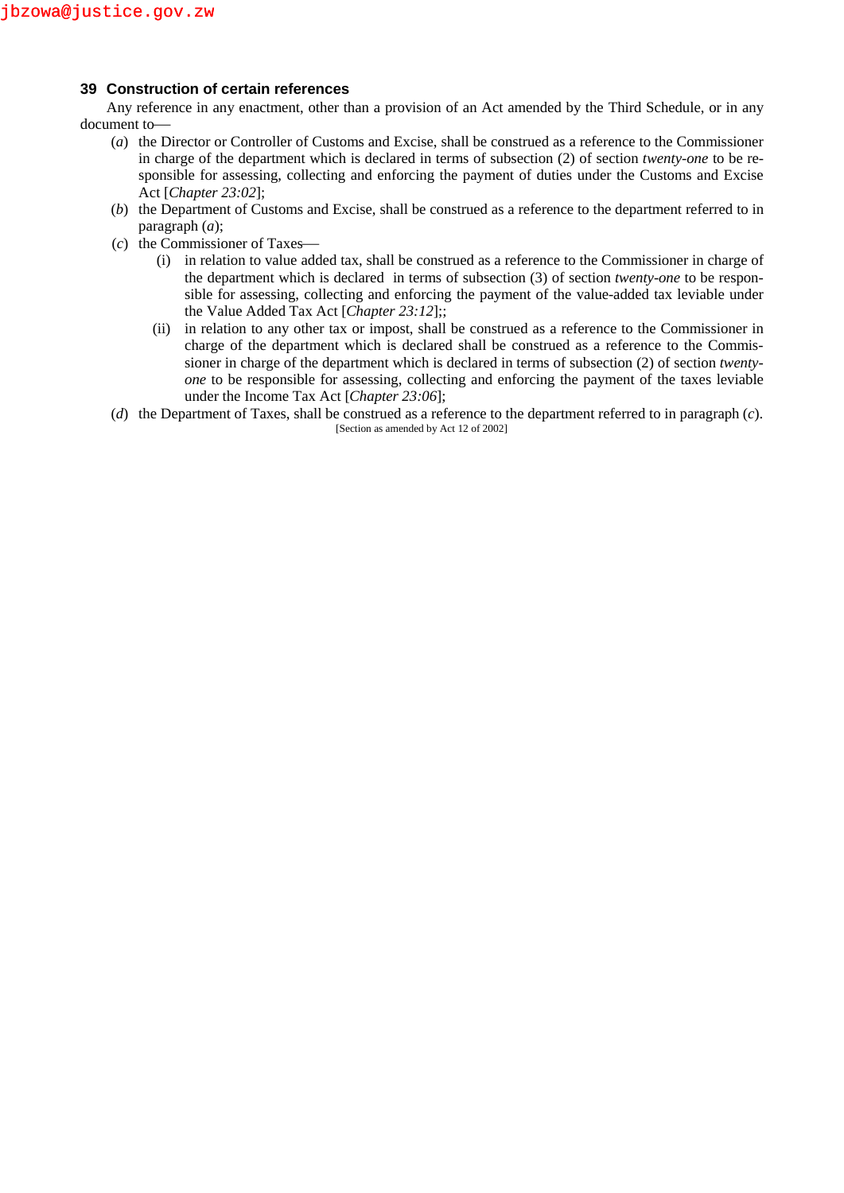## **39 Construction of certain references**

Any reference in any enactment, other than a provision of an Act amended by the Third Schedule, or in any document to

- (*a*) the Director or Controller of Customs and Excise, shall be construed as a reference to the Commissioner in charge of the department which is declared in terms of subsection (2) of section *twenty-one* to be responsible for assessing, collecting and enforcing the payment of duties under the Customs and Excise Act [*Chapter 23:02*];
- (*b*) the Department of Customs and Excise, shall be construed as a reference to the department referred to in paragraph (*a*);
- (*c*) the Commissioner of Taxes
	- (i) in relation to value added tax, shall be construed as a reference to the Commissioner in charge of the department which is declared in terms of subsection (3) of section *twenty-one* to be responsible for assessing, collecting and enforcing the payment of the value-added tax leviable under the Value Added Tax Act [*Chapter 23:12*];;
	- (ii) in relation to any other tax or impost, shall be construed as a reference to the Commissioner in charge of the department which is declared shall be construed as a reference to the Commissioner in charge of the department which is declared in terms of subsection (2) of section *twenty one* to be responsible for assessing, collecting and enforcing the payment of the taxes leviable under the Income Tax Act [*Chapter 23:06*];
- (*d*) the Department of Taxes, shall be construed as a reference to the department referred to in paragraph (*c*). [Section as amended by Act 12 of 2002]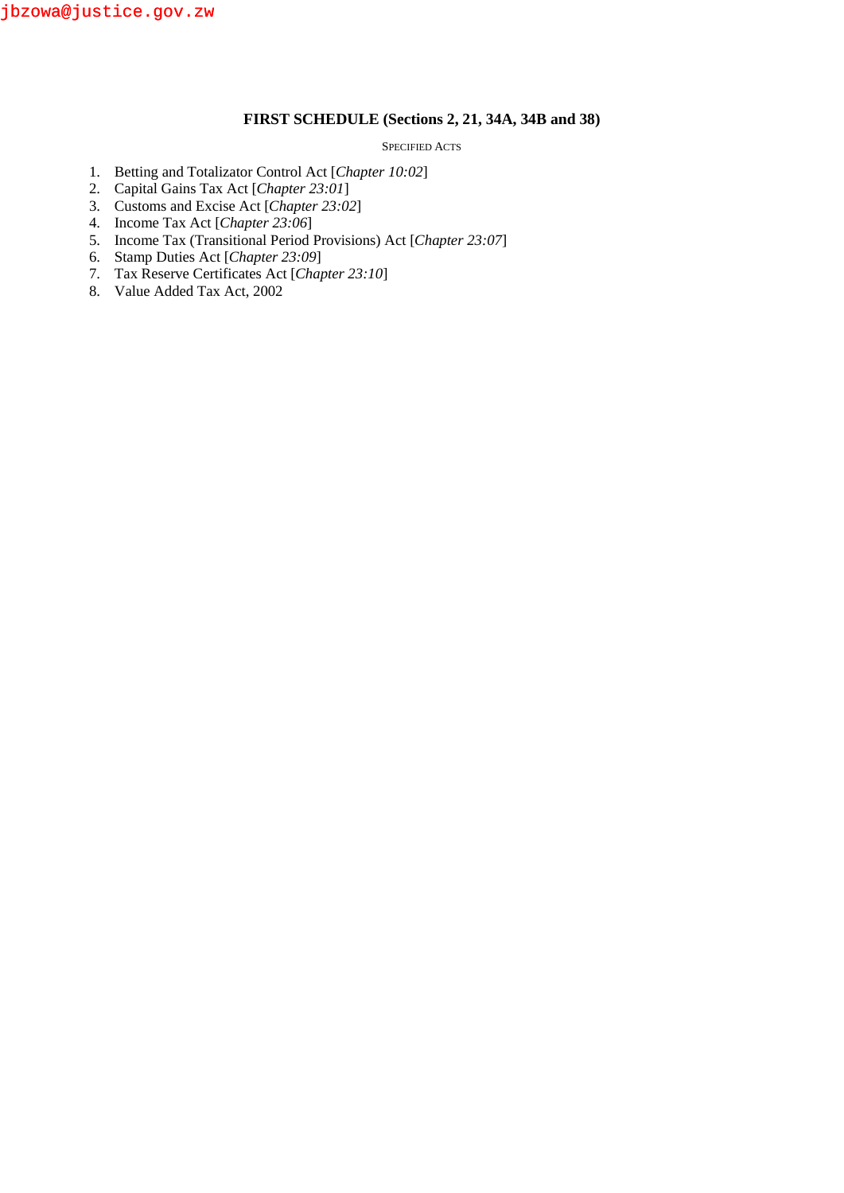## **FIRST SCHEDULE (Sections 2, 21, 34A, 34B and 38)**

#### SPECIFIED ACTS

- 1. Betting and Totalizator Control Act [*Chapter 10:02*]
- 2. Capital Gains Tax Act [*Chapter 23:01*]
- 3. Customs and Excise Act [*Chapter 23:02*]
- 4. Income Tax Act [*Chapter 23:06*]
- 5. Income Tax (Transitional Period Provisions) Act [*Chapter 23:07*]
- 6. Stamp Duties Act [*Chapter 23:09*]
- 7. Tax Reserve Certificates Act [*Chapter 23:10*]
- 8. Value Added Tax Act, 2002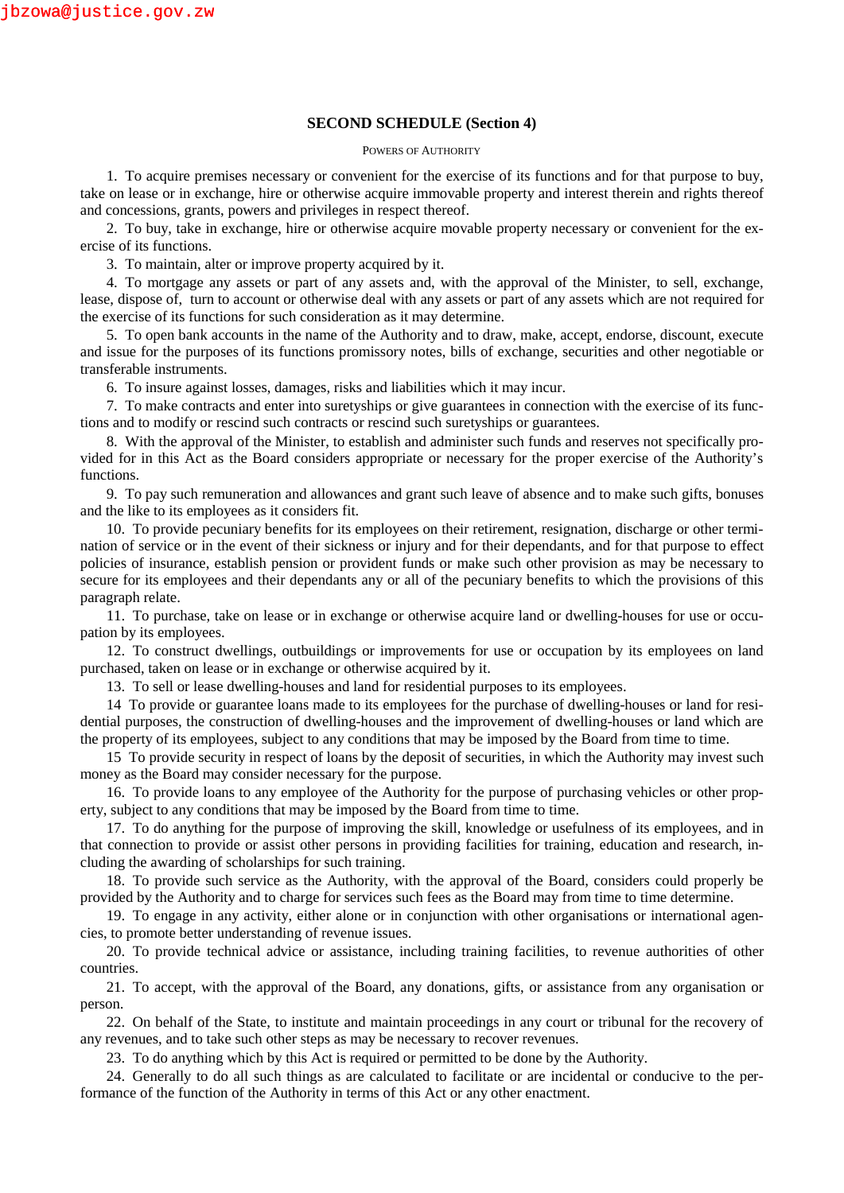### **SECOND SCHEDULE (Section 4)**

#### POWERS OF AUTHORITY

1. To acquire premises necessary or convenient for the exercise of its functions and for that purpose to buy, take on lease or in exchange, hire or otherwise acquire immovable property and interest therein and rights thereof and concessions, grants, powers and privileges in respect thereof.

2. To buy, take in exchange, hire or otherwise acquire movable property necessary or convenient for the exercise of its functions.

3. To maintain, alter or improve property acquired by it.

4. To mortgage any assets or part of any assets and, with the approval of the Minister, to sell, exchange, lease, dispose of, turn to account or otherwise deal with any assets or part of any assets which are not required for the exercise of its functions for such consideration as it may determine.

5. To open bank accounts in the name of the Authority and to draw, make, accept, endorse, discount, execute and issue for the purposes of its functions promissory notes, bills of exchange, securities and other negotiable or transferable instruments.

6. To insure against losses, damages, risks and liabilities which it may incur.

7. To make contracts and enter into suretyships or give guarantees in connection with the exercise of its functions and to modify or rescind such contracts or rescind such suretyships or guarantees.

8. With the approval of the Minister, to establish and administer such funds and reserves not specifically provided for in this Act as the Board considers appropriate or necessary for the proper exercise of the Authority's functions.

9. To pay such remuneration and allowances and grant such leave of absence and to make such gifts, bonuses and the like to its employees as it considers fit.

10. To provide pecuniary benefits for its employees on their retirement, resignation, discharge or other termination of service or in the event of their sickness or injury and for their dependants, and for that purpose to effect policies of insurance, establish pension or provident funds or make such other provision as may be necessary to secure for its employees and their dependants any or all of the pecuniary benefits to which the provisions of this paragraph relate.

11. To purchase, take on lease or in exchange or otherwise acquire land or dwelling-houses for use or occupation by its employees.

12. To construct dwellings, outbuildings or improvements for use or occupation by its employees on land purchased, taken on lease or in exchange or otherwise acquired by it.

13. To sell or lease dwelling-houses and land for residential purposes to its employees.

14 To provide or guarantee loans made to its employees for the purchase of dwelling-houses or land for residential purposes, the construction of dwelling-houses and the improvement of dwelling-houses or land which are the property of its employees, subject to any conditions that may be imposed by the Board from time to time.

15 To provide security in respect of loans by the deposit of securities, in which the Authority may invest such money as the Board may consider necessary for the purpose.

16. To provide loans to any employee of the Authority for the purpose of purchasing vehicles or other property, subject to any conditions that may be imposed by the Board from time to time.

17. To do anything for the purpose of improving the skill, knowledge or usefulness of its employees, and in that connection to provide or assist other persons in providing facilities for training, education and research, including the awarding of scholarships for such training.

18. To provide such service as the Authority, with the approval of the Board, considers could properly be provided by the Authority and to charge for services such fees as the Board may from time to time determine.

19. To engage in any activity, either alone or in conjunction with other organisations or international agencies, to promote better understanding of revenue issues.

20. To provide technical advice or assistance, including training facilities, to revenue authorities of other countries.

21. To accept, with the approval of the Board, any donations, gifts, or assistance from any organisation or person.

22. On behalf of the State, to institute and maintain proceedings in any court or tribunal for the recovery of any revenues, and to take such other steps as may be necessary to recover revenues.

23. To do anything which by this Act is required or permitted to be done by the Authority.

24. Generally to do all such things as are calculated to facilitate or are incidental or conducive to the performance of the function of the Authority in terms of this Act or any other enactment.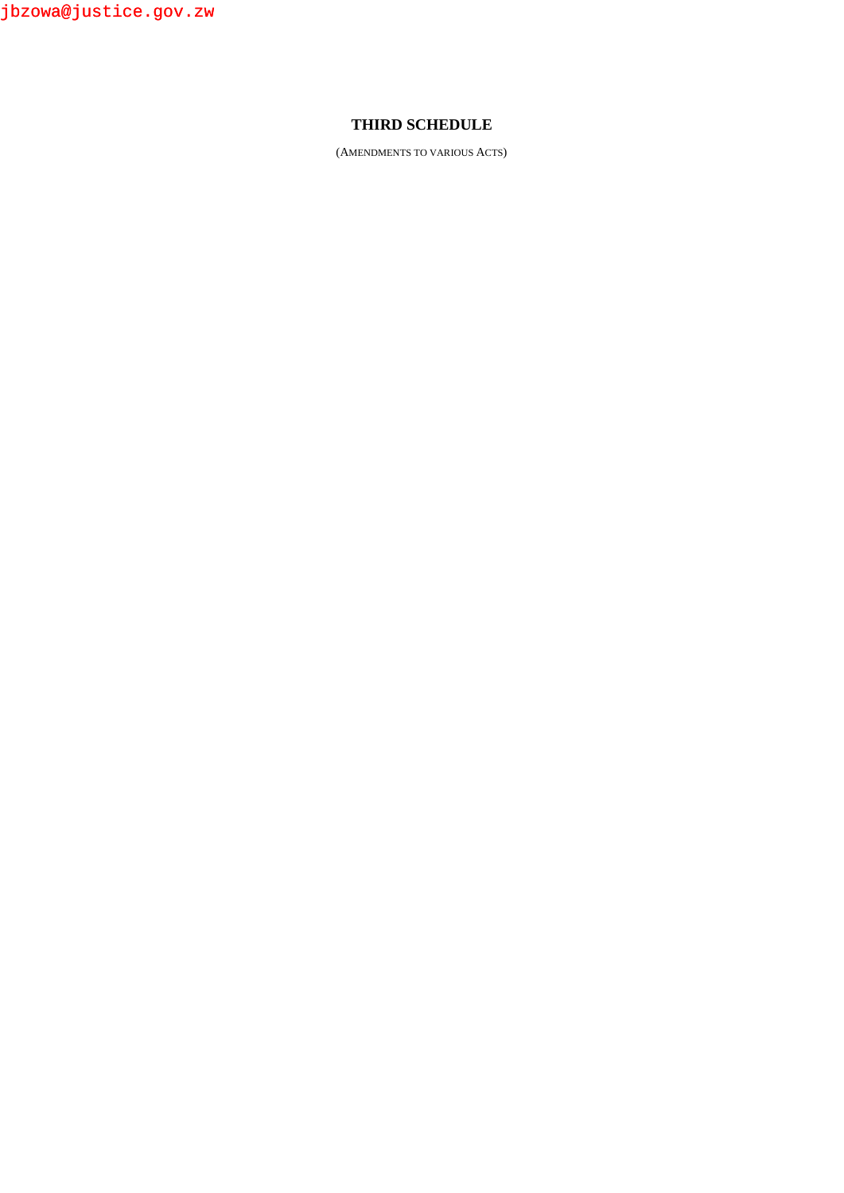jbzowa@justice.gov.zw

# **THIRD SCHEDULE**

(AMENDMENTS TO VARIOUS ACTS)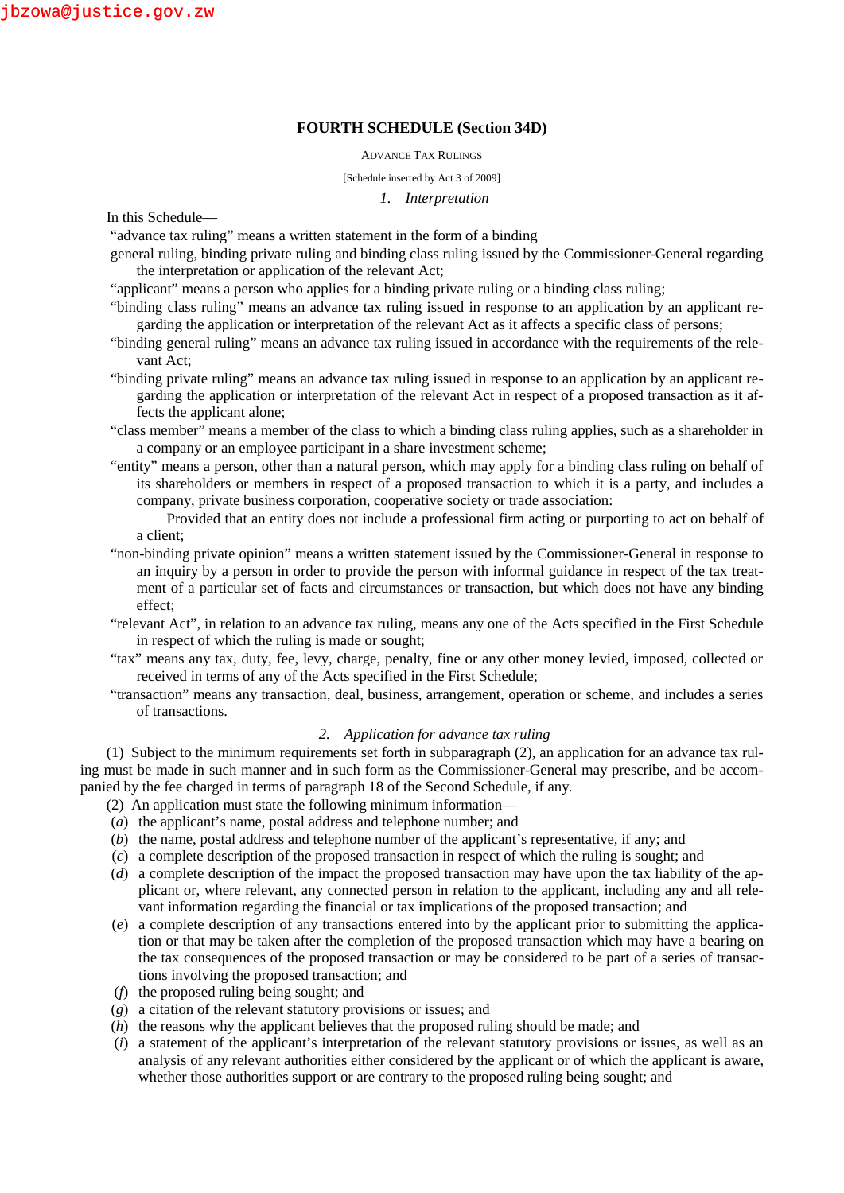### **FOURTH SCHEDULE (Section 34D)**

#### ADVANCE TAX RULINGS

#### [Schedule inserted by Act 3 of 2009]

#### *1. Interpretation*

In this Schedule—

"advance tax ruling" means a written statement in the form of a binding

- general ruling, binding private ruling and binding class ruling issued by the Commissioner-General regarding the interpretation or application of the relevant Act;
- "applicant" means a person who applies for a binding private ruling or a binding class ruling;
- "binding class ruling" means an advance tax ruling issued in response to an application by an applicant regarding the application or interpretation of the relevant Act as it affects a specific class of persons;
- "binding general ruling" means an advance tax ruling issued in accordance with the requirements of the relevant Act;
- "binding private ruling" means an advance tax ruling issued in response to an application by an applicant regarding the application or interpretation of the relevant Act in respect of a proposed transaction as it affects the applicant alone;
- "class member" means a member of the class to which a binding class ruling applies, such as a shareholder in a company or an employee participant in a share investment scheme;
- "entity" means a person, other than a natural person, which may apply for a binding class ruling on behalf of its shareholders or members in respect of a proposed transaction to which it is a party, and includes a company, private business corporation, cooperative society or trade association:

Provided that an entity does not include a professional firm acting or purporting to act on behalf of a client;

- "non-binding private opinion" means a written statement issued by the Commissioner-General in response to an inquiry by a person in order to provide the person with informal guidance in respect of the tax treatment of a particular set of facts and circumstances or transaction, but which does not have any binding effect;
- "relevant Act", in relation to an advance tax ruling, means any one of the Acts specified in the First Schedule in respect of which the ruling is made or sought;
- "tax" means any tax, duty, fee, levy, charge, penalty, fine or any other money levied, imposed, collected or received in terms of any of the Acts specified in the First Schedule;
- "transaction" means any transaction, deal, business, arrangement, operation or scheme, and includes a series of transactions.

#### *2. Application for advance tax ruling*

(1) Subject to the minimum requirements set forth in subparagraph (2), an application for an advance tax ruling must be made in such manner and in such form as the Commissioner-General may prescribe, and be accompanied by the fee charged in terms of paragraph 18 of the Second Schedule, if any.

(2) An application must state the following minimum information—

- (*a*) the applicant's name, postal address and telephone number; and
- (*b*) the name, postal address and telephone number of the applicant's representative, if any; and
- (*c*) a complete description of the proposed transaction in respect of which the ruling is sought; and
- (*d*) a complete description of the impact the proposed transaction may have upon the tax liability of the applicant or, where relevant, any connected person in relation to the applicant, including any and all relevant information regarding the financial or tax implications of the proposed transaction; and
- (*e*) a complete description of any transactions entered into by the applicant prior to submitting the application or that may be taken after the completion of the proposed transaction which may have a bearing on the tax consequences of the proposed transaction or may be considered to be part of a series of transactions involving the proposed transaction; and
- (*f*) the proposed ruling being sought; and
- (*g*) a citation of the relevant statutory provisions or issues; and
- (*h*) the reasons why the applicant believes that the proposed ruling should be made; and
- (*i*) a statement of the applicant's interpretation of the relevant statutory provisions or issues, as well as an analysis of any relevant authorities either considered by the applicant or of which the applicant is aware, whether those authorities support or are contrary to the proposed ruling being sought; and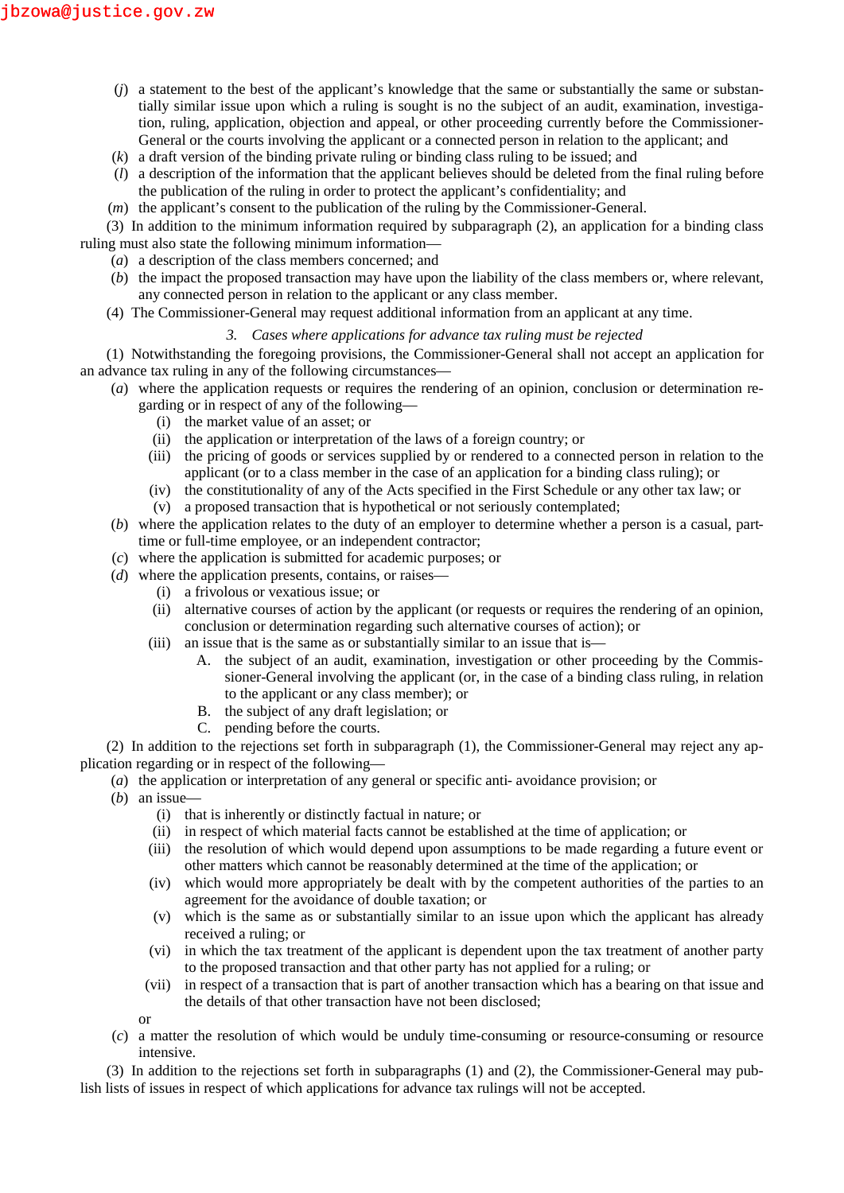- (*j*) a statement to the best of the applicant's knowledge that the same or substantially the same or substantially similar issue upon which a ruling is sought is no the subject of an audit, examination, investigation, ruling, application, objection and appeal, or other proceeding currently before the Commissioner- General or the courts involving the applicant or a connected person in relation to the applicant; and
- (*k*) a draft version of the binding private ruling or binding class ruling to be issued; and
- (*l*) a description of the information that the applicant believes should be deleted from the final ruling before the publication of the ruling in order to protect the applicant's confidentiality; and
- (*m*) the applicant's consent to the publication of the ruling by the Commissioner-General.

(3) In addition to the minimum information required by subparagraph (2), an application for a binding class ruling must also state the following minimum information—

- (*a*) a description of the class members concerned; and
- (*b*) the impact the proposed transaction may have upon the liability of the class members or, where relevant, any connected person in relation to the applicant or any class member.
- (4) The Commissioner-General may request additional information from an applicant at any time.

# *3. Cases where applications for advance tax ruling must be rejected*

(1) Notwithstanding the foregoing provisions, the Commissioner-General shall not accept an application for an advance tax ruling in any of the following circumstances—

- (*a*) where the application requests or requires the rendering of an opinion, conclusion or determination regarding or in respect of any of the following—
	- (i) the market value of an asset; or
	- (ii) the application or interpretation of the laws of a foreign country; or
	- (iii) the pricing of goods or services supplied by or rendered to a connected person in relation to the applicant (or to a class member in the case of an application for a binding class ruling); or
	- (iv) the constitutionality of any of the Acts specified in the First Schedule or any other tax law; or
	- (v) a proposed transaction that is hypothetical or not seriously contemplated;
- (*b*) where the application relates to the duty of an employer to determine whether a person is a casual, parttime or full-time employee, or an independent contractor;
- (*c*) where the application is submitted for academic purposes; or
- (*d*) where the application presents, contains, or raises—
	- (i) a frivolous or vexatious issue; or
	- (ii) alternative courses of action by the applicant (or requests or requires the rendering of an opinion, conclusion or determination regarding such alternative courses of action); or
	- (iii) an issue that is the same as or substantially similar to an issue that is—
		- A. the subject of an audit, examination, investigation or other proceeding by the Commissioner-General involving the applicant (or, in the case of a binding class ruling, in relation to the applicant or any class member); or
		- B. the subject of any draft legislation; or
		- C. pending before the courts.

(2) In addition to the rejections set forth in subparagraph (1), the Commissioner-General may reject any application regarding or in respect of the following—

- (*a*) the application or interpretation of any general or specific anti- avoidance provision; or
- (*b*) an issue—
	- (i) that is inherently or distinctly factual in nature; or
	- (ii) in respect of which material facts cannot be established at the time of application; or
	- (iii) the resolution of which would depend upon assumptions to be made regarding a future event or other matters which cannot be reasonably determined at the time of the application; or
	- (iv) which would more appropriately be dealt with by the competent authorities of the parties to an agreement for the avoidance of double taxation; or
	- (v) which is the same as or substantially similar to an issue upon which the applicant has already received a ruling; or
	- (vi) in which the tax treatment of the applicant is dependent upon the tax treatment of another party to the proposed transaction and that other party has not applied for a ruling; or
	- (vii) in respect of a transaction that is part of another transaction which has a bearing on that issue and the details of that other transaction have not been disclosed;
	- or
- (*c*) a matter the resolution of which would be unduly time-consuming or resource-consuming or resource intensive.

(3) In addition to the rejections set forth in subparagraphs (1) and (2), the Commissioner-General may publish lists of issues in respect of which applications for advance tax rulings will not be accepted.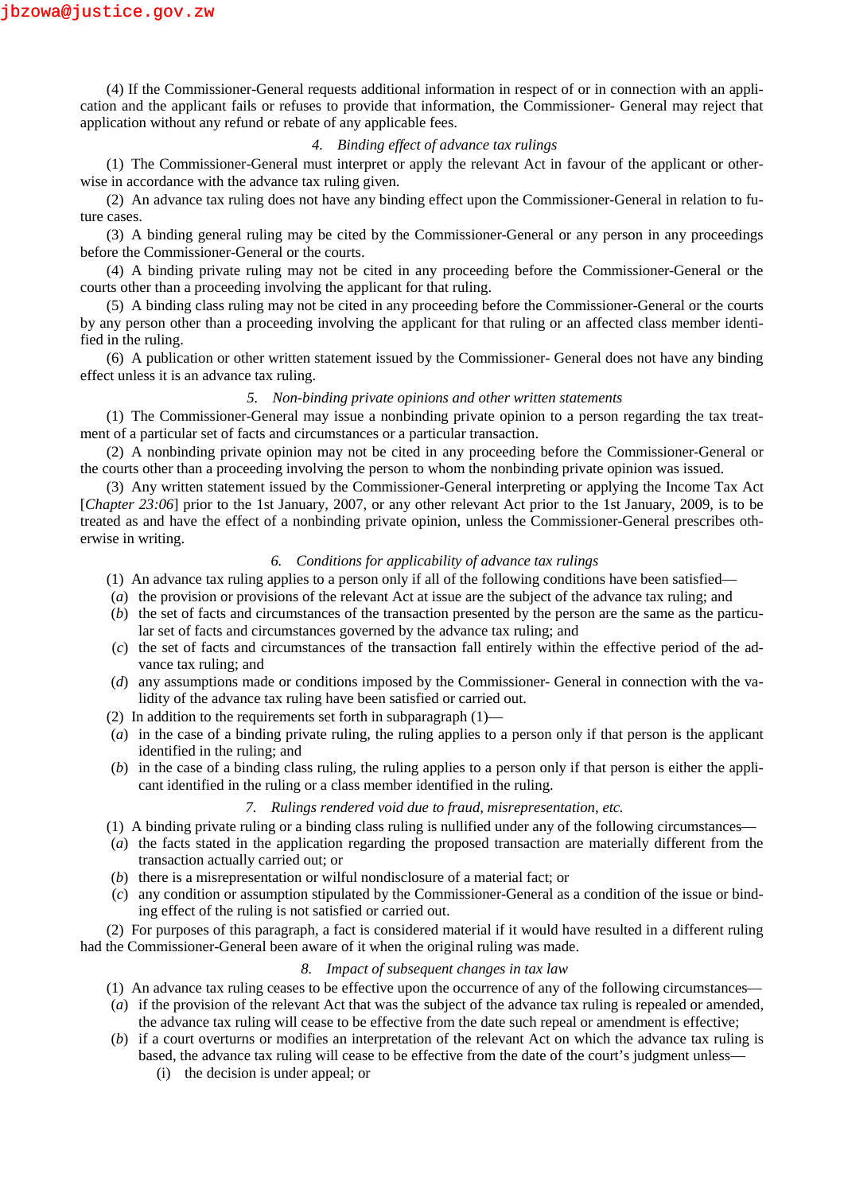(4) If the Commissioner-General requests additional information in respect of or in connection with an application and the applicant fails or refuses to provide that information, the Commissioner- General may reject that application without any refund or rebate of any applicable fees.

#### *4. Binding effect of advance tax rulings*

(1) The Commissioner-General must interpret or apply the relevant Act in favour of the applicant or otherwise in accordance with the advance tax ruling given.

(2) An advance tax ruling does not have any binding effect upon the Commissioner-General in relation to future cases.

(3) A binding general ruling may be cited by the Commissioner-General or any person in any proceedings before the Commissioner-General or the courts.

(4) A binding private ruling may not be cited in any proceeding before the Commissioner-General or the courts other than a proceeding involving the applicant for that ruling.

(5) A binding class ruling may not be cited in any proceeding before the Commissioner-General or the courts by any person other than a proceeding involving the applicant for that ruling or an affected class member identified in the ruling.

(6) A publication or other written statement issued by the Commissioner- General does not have any binding effect unless it is an advance tax ruling.

### *5. Non-binding private opinions and other written statements*

(1) The Commissioner-General may issue a nonbinding private opinion to a person regarding the tax treatment of a particular set of facts and circumstances or a particular transaction.

(2) A nonbinding private opinion may not be cited in any proceeding before the Commissioner-General or the courts other than a proceeding involving the person to whom the nonbinding private opinion was issued.

(3) Any written statement issued by the Commissioner-General interpreting or applying the Income Tax Act [*Chapter 23:06*] prior to the 1st January, 2007, or any other relevant Act prior to the 1st January, 2009, is to be treated as and have the effect of a nonbinding private opinion, unless the Commissioner-General prescribes otherwise in writing.

#### *6. Conditions for applicability of advance tax rulings*

- (1) An advance tax ruling applies to a person only if all of the following conditions have been satisfied—
- (*a*) the provision or provisions of the relevant Act at issue are the subject of the advance tax ruling; and
- (*b*) the set of facts and circumstances of the transaction presented by the person are the same as the particular set of facts and circumstances governed by the advance tax ruling; and
- (*c*) the set of facts and circumstances of the transaction fall entirely within the effective period of the advance tax ruling; and
- (*d*) any assumptions made or conditions imposed by the Commissioner- General in connection with the validity of the advance tax ruling have been satisfied or carried out.
- (2) In addition to the requirements set forth in subparagraph (1)—
- (*a*) in the case of a binding private ruling, the ruling applies to a person only if that person is the applicant identified in the ruling; and
- (*b*) in the case of a binding class ruling, the ruling applies to a person only if that person is either the applicant identified in the ruling or a class member identified in the ruling.

#### *7. Rulings rendered void due to fraud, misrepresentation, etc.*

- (1) A binding private ruling or a binding class ruling is nullified under any of the following circumstances—
- (*a*) the facts stated in the application regarding the proposed transaction are materially different from the transaction actually carried out; or
- (*b*) there is a misrepresentation or wilful nondisclosure of a material fact; or
- (*c*) any condition or assumption stipulated by the Commissioner-General as a condition of the issue or binding effect of the ruling is not satisfied or carried out.

(2) For purposes of this paragraph, a fact is considered material if it would have resulted in a different ruling had the Commissioner-General been aware of it when the original ruling was made.

#### *8. Impact of subsequent changes in tax law*

- (1) An advance tax ruling ceases to be effective upon the occurrence of any of the following circumstances—
- (*a*) if the provision of the relevant Act that was the subject of the advance tax ruling is repealed or amended, the advance tax ruling will cease to be effective from the date such repeal or amendment is effective;
- (*b*) if a court overturns or modifies an interpretation of the relevant Act on which the advance tax ruling is based, the advance tax ruling will cease to be effective from the date of the court's judgment unless—
	- (i) the decision is under appeal; or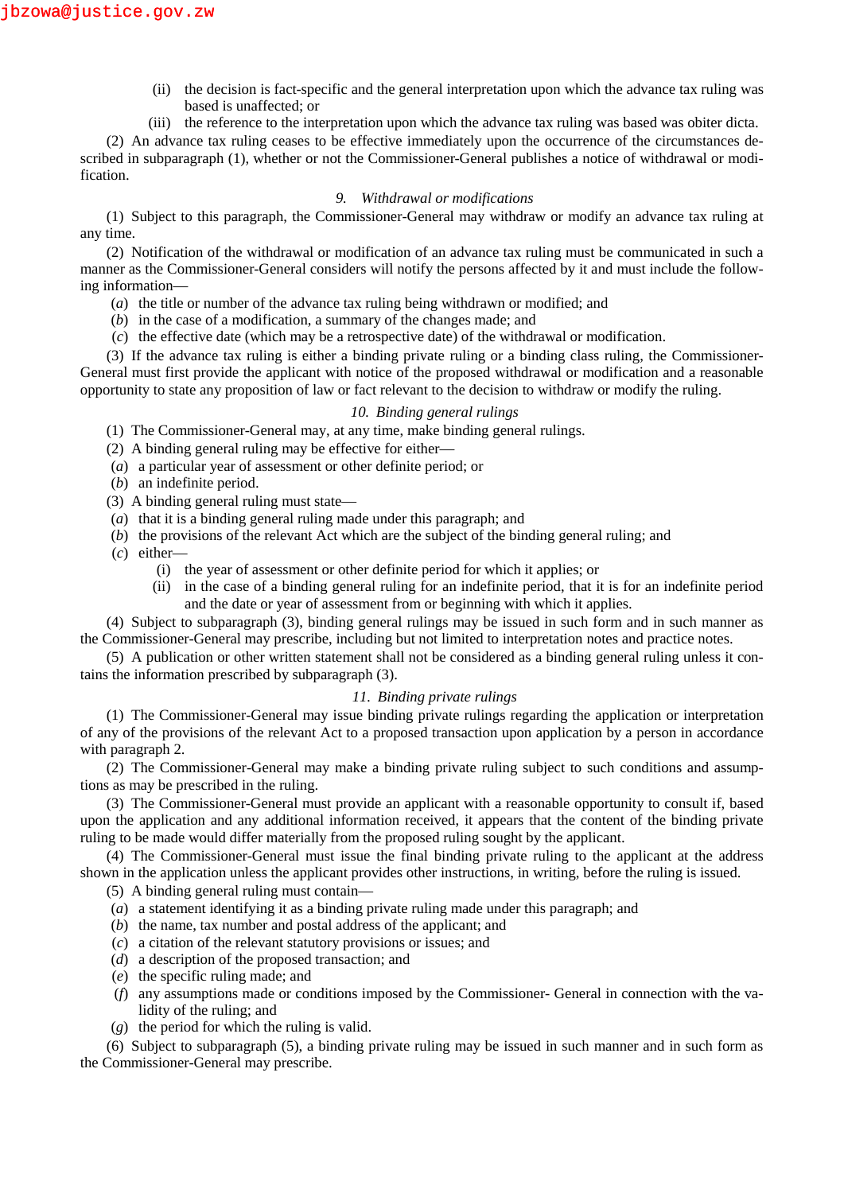- (ii) the decision is fact-specific and the general interpretation upon which the advance tax ruling was based is unaffected; or
- (iii) the reference to the interpretation upon which the advance tax ruling was based was obiter dicta.

(2) An advance tax ruling ceases to be effective immediately upon the occurrence of the circumstances described in subparagraph (1), whether or not the Commissioner-General publishes a notice of withdrawal or modification.

### *9. Withdrawal or modifications*

(1) Subject to this paragraph, the Commissioner-General may withdraw or modify an advance tax ruling at any time.

(2) Notification of the withdrawal or modification of an advance tax ruling must be communicated in such a manner as the Commissioner-General considers will notify the persons affected by it and must include the following information—

- (*a*) the title or number of the advance tax ruling being withdrawn or modified; and
- (*b*) in the case of a modification, a summary of the changes made; and
- (*c*) the effective date (which may be a retrospective date) of the withdrawal or modification.

(3) If the advance tax ruling is either a binding private ruling or a binding class ruling, the Commissioner- General must first provide the applicant with notice of the proposed withdrawal or modification and a reasonable opportunity to state any proposition of law or fact relevant to the decision to withdraw or modify the ruling.

#### *10. Binding general rulings*

(1) The Commissioner-General may, at any time, make binding general rulings.

- (2) A binding general ruling may be effective for either—
- (*a*) a particular year of assessment or other definite period; or
- (*b*) an indefinite period.
- (3) A binding general ruling must state—
- (*a*) that it is a binding general ruling made under this paragraph; and
- (*b*) the provisions of the relevant Act which are the subject of the binding general ruling; and
- (*c*) either—
	- (i) the year of assessment or other definite period for which it applies; or
	- (ii) in the case of a binding general ruling for an indefinite period, that it is for an indefinite period and the date or year of assessment from or beginning with which it applies.

(4) Subject to subparagraph (3), binding general rulings may be issued in such form and in such manner as the Commissioner-General may prescribe, including but not limited to interpretation notes and practice notes.

(5) A publication or other written statement shall not be considered as a binding general ruling unless it contains the information prescribed by subparagraph (3).

### *11. Binding private rulings*

(1) The Commissioner-General may issue binding private rulings regarding the application or interpretation of any of the provisions of the relevant Act to a proposed transaction upon application by a person in accordance with paragraph 2.

(2) The Commissioner-General may make a binding private ruling subject to such conditions and assumptions as may be prescribed in the ruling.

(3) The Commissioner-General must provide an applicant with a reasonable opportunity to consult if, based upon the application and any additional information received, it appears that the content of the binding private ruling to be made would differ materially from the proposed ruling sought by the applicant.

(4) The Commissioner-General must issue the final binding private ruling to the applicant at the address shown in the application unless the applicant provides other instructions, in writing, before the ruling is issued.

(5) A binding general ruling must contain—

- (*a*) a statement identifying it as a binding private ruling made under this paragraph; and
- (*b*) the name, tax number and postal address of the applicant; and
- (*c*) a citation of the relevant statutory provisions or issues; and
- (*d*) a description of the proposed transaction; and
- (*e*) the specific ruling made; and
- (*f*) any assumptions made or conditions imposed by the Commissioner- General in connection with the validity of the ruling; and
- (*g*) the period for which the ruling is valid.

(6) Subject to subparagraph (5), a binding private ruling may be issued in such manner and in such form as the Commissioner-General may prescribe.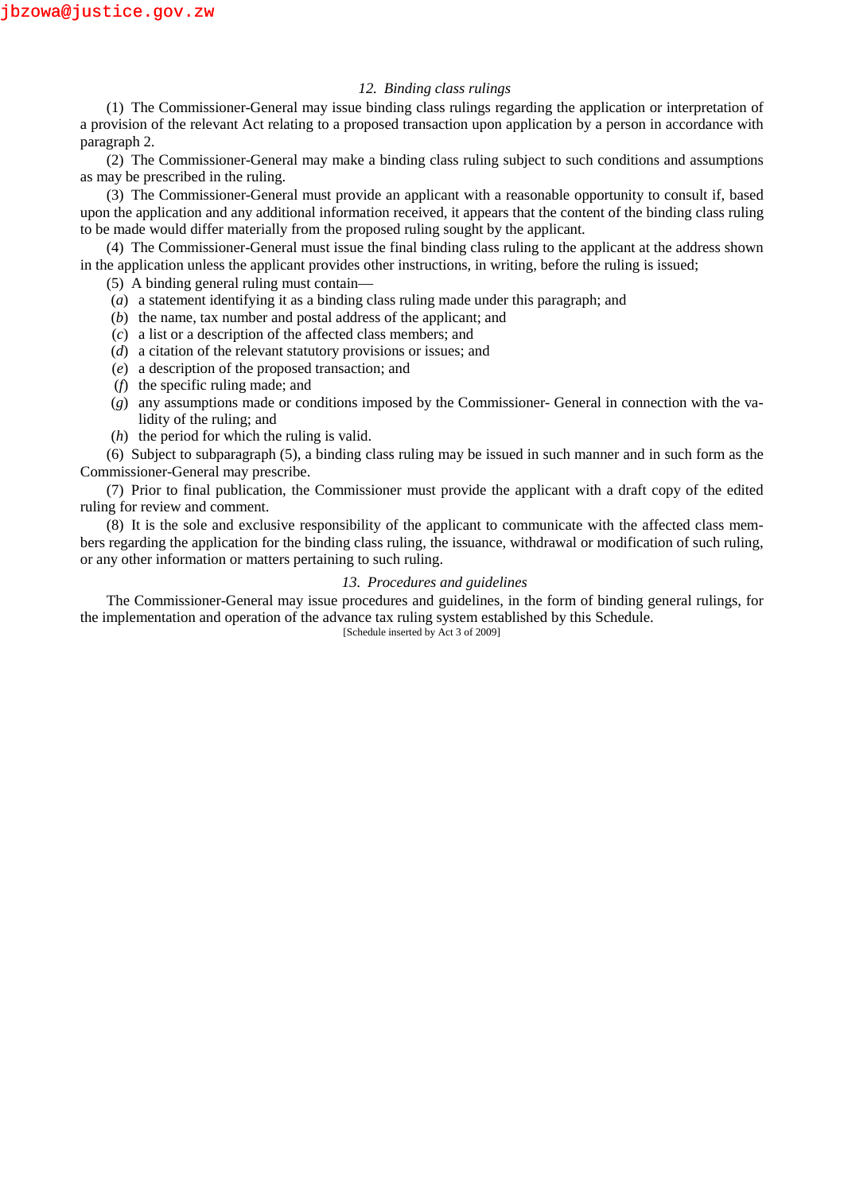### *12. Binding class rulings*

(1) The Commissioner-General may issue binding class rulings regarding the application or interpretation of a provision of the relevant Act relating to a proposed transaction upon application by a person in accordance with paragraph 2.

(2) The Commissioner-General may make a binding class ruling subject to such conditions and assumptions as may be prescribed in the ruling.

(3) The Commissioner-General must provide an applicant with a reasonable opportunity to consult if, based upon the application and any additional information received, it appears that the content of the binding class ruling to be made would differ materially from the proposed ruling sought by the applicant.

(4) The Commissioner-General must issue the final binding class ruling to the applicant at the address shown in the application unless the applicant provides other instructions, in writing, before the ruling is issued;

(5) A binding general ruling must contain—

- (*a*) a statement identifying it as a binding class ruling made under this paragraph; and
- (*b*) the name, tax number and postal address of the applicant; and
- (*c*) a list or a description of the affected class members; and
- (*d*) a citation of the relevant statutory provisions or issues; and
- (*e*) a description of the proposed transaction; and
- (*f*) the specific ruling made; and
- (*g*) any assumptions made or conditions imposed by the Commissioner- General in connection with the validity of the ruling; and
- (*h*) the period for which the ruling is valid.

(6) Subject to subparagraph (5), a binding class ruling may be issued in such manner and in such form as the Commissioner-General may prescribe.

(7) Prior to final publication, the Commissioner must provide the applicant with a draft copy of the edited ruling for review and comment.

(8) It is the sole and exclusive responsibility of the applicant to communicate with the affected class members regarding the application for the binding class ruling, the issuance, withdrawal or modification of such ruling, or any other information or matters pertaining to such ruling.

#### *13. Procedures and guidelines*

The Commissioner-General may issue procedures and guidelines, in the form of binding general rulings, for the implementation and operation of the advance tax ruling system established by this Schedule.

[Schedule inserted by Act 3 of 2009]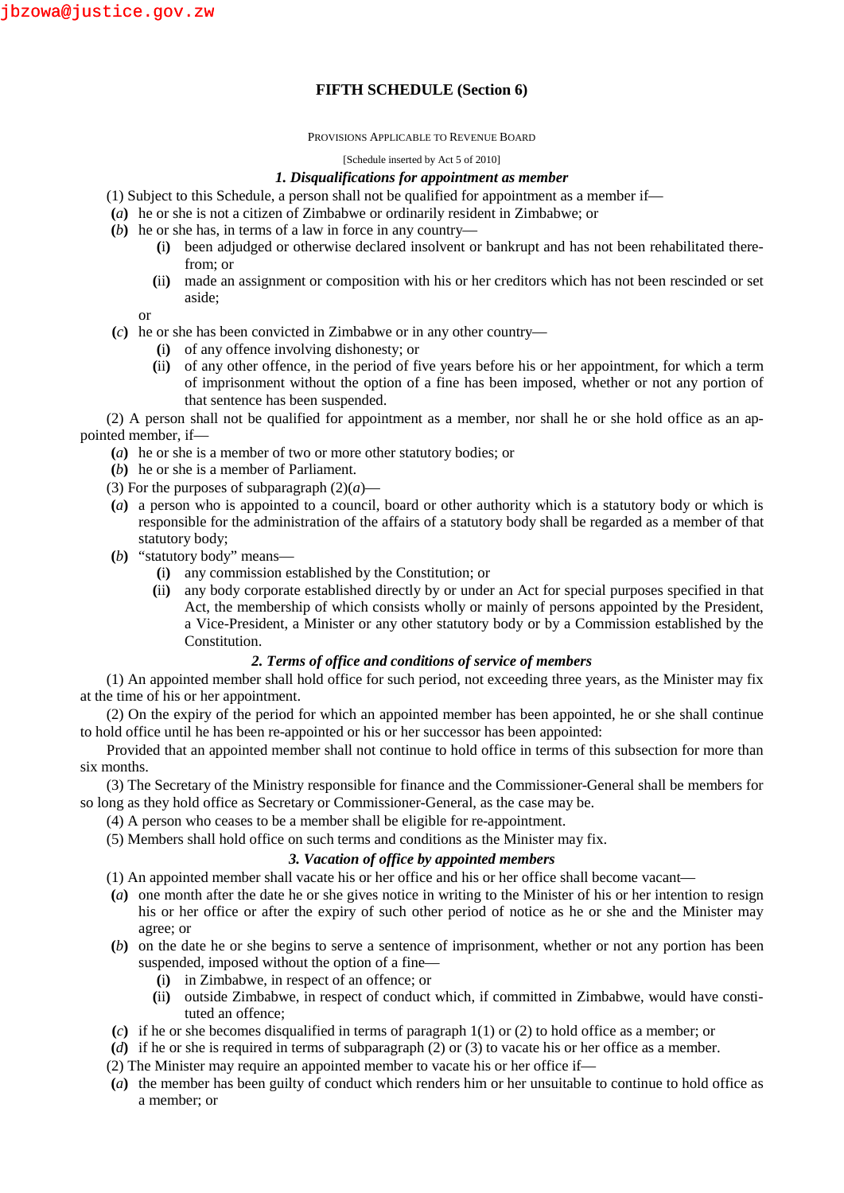# **FIFTH SCHEDULE (Section 6)**

#### PROVISIONS APPLICABLE TO REVENUE BOARD

#### [Schedule inserted by Act 5 of 2010]

### *1. Disqualifications for appointment as member*

- (1) Subject to this Schedule, a person shall not be qualified for appointment as a member if—
- **(***a***)** he or she is not a citizen of Zimbabwe or ordinarily resident in Zimbabwe; or
- **(***b***)** he or she has, in terms of a law in force in any country—
	- **(**i**)** been adjudged or otherwise declared insolvent or bankrupt and has not been rehabilitated therefrom; or
	- **(**ii**)** made an assignment or composition with his or her creditors which has not been rescinded or set aside;
	- or
- **(***c***)** he or she has been convicted in Zimbabwe or in any other country—
	- **(**i**)** of any offence involving dishonesty; or
	- **(**ii**)** of any other offence, in the period of five years before his or her appointment, for which a term of imprisonment without the option of a fine has been imposed, whether or not any portion of that sentence has been suspended.

(2) A person shall not be qualified for appointment as a member, nor shall he or she hold office as an appointed member, if—

- **(***a***)** he or she is a member of two or more other statutory bodies; or
- **(***b***)** he or she is a member of Parliament.
- (3) For the purposes of subparagraph  $(2)(a)$ —
- **(***a***)** a person who is appointed to a council, board or other authority which is a statutory body or which is responsible for the administration of the affairs of a statutory body shall be regarded as a member of that statutory body;
- **(***b***)** "statutory body" means—
	- **(**i**)** any commission established by the Constitution; or
	- **(**ii**)** any body corporate established directly by or under an Act for special purposes specified in that Act, the membership of which consists wholly or mainly of persons appointed by the President, a Vice-President, a Minister or any other statutory body or by a Commission established by the Constitution.

## *2. Terms of office and conditions of service of members*

(1) An appointed member shall hold office for such period, not exceeding three years, as the Minister may fix at the time of his or her appointment.

(2) On the expiry of the period for which an appointed member has been appointed, he or she shall continue to hold office until he has been re-appointed or his or her successor has been appointed:

Provided that an appointed member shall not continue to hold office in terms of this subsection for more than six months.

(3) The Secretary of the Ministry responsible for finance and the Commissioner-General shall be members for so long as they hold office as Secretary or Commissioner-General, as the case may be.

- (4) A person who ceases to be a member shall be eligible for re-appointment.
- (5) Members shall hold office on such terms and conditions as the Minister may fix.

## *3. Vacation of office by appointed members*

(1) An appointed member shall vacate his or her office and his or her office shall become vacant—

- **(***a***)** one month after the date he or she gives notice in writing to the Minister of his or her intention to resign his or her office or after the expiry of such other period of notice as he or she and the Minister may agree; or
- **(***b***)** on the date he or she begins to serve a sentence of imprisonment, whether or not any portion has been suspended, imposed without the option of a fine—
	- **(**i**)** in Zimbabwe, in respect of an offence; or
	- **(**ii**)** outside Zimbabwe, in respect of conduct which, if committed in Zimbabwe, would have constituted an offence;
- **(***c***)** if he or she becomes disqualified in terms of paragraph 1(1) or (2) to hold office as a member; or
- **(***d***)** if he or she is required in terms of subparagraph (2) or (3) to vacate his or her office as a member.
- (2) The Minister may require an appointed member to vacate his or her office if—
- **(***a***)** the member has been guilty of conduct which renders him or her unsuitable to continue to hold office as a member; or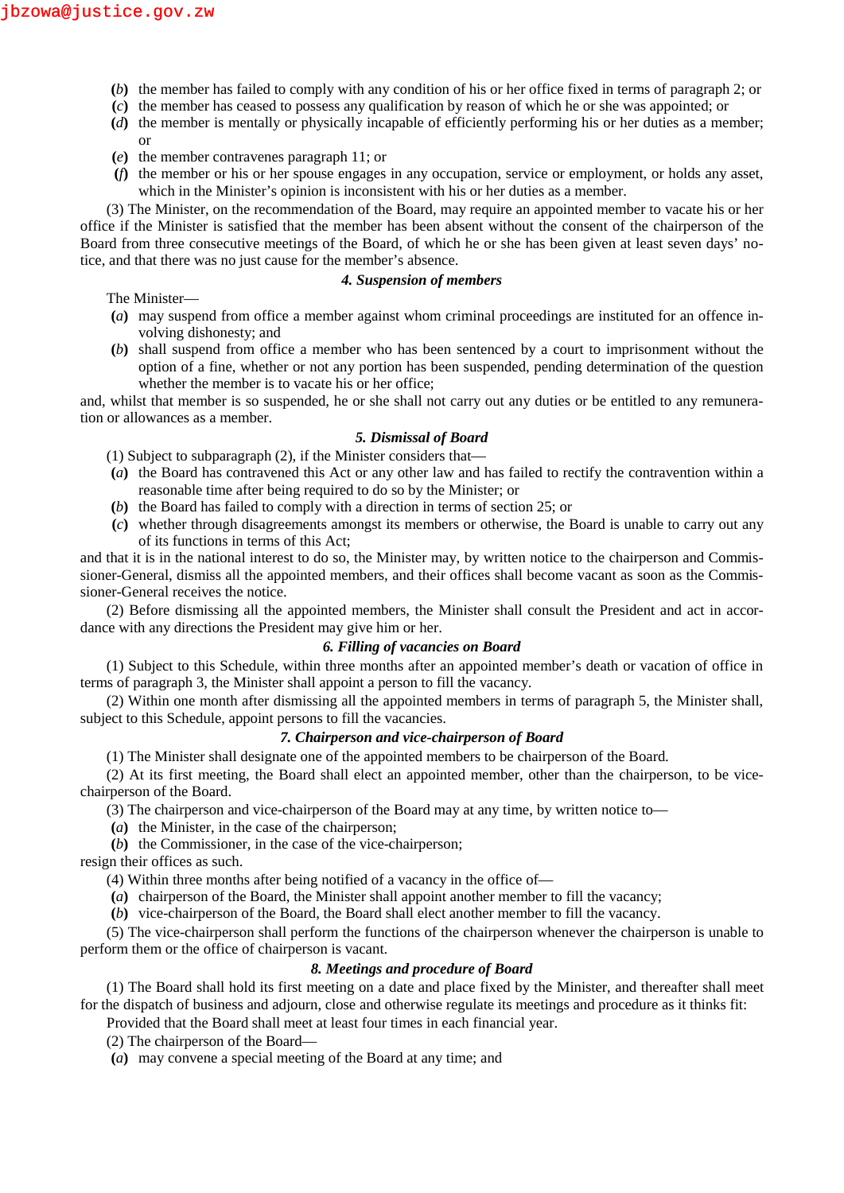- **(***b***)** the member has failed to comply with any condition of his or her office fixed in terms of paragraph 2; or
- **(***c***)** the member has ceased to possess any qualification by reason of which he or she was appointed; or
- **(***d***)** the member is mentally or physically incapable of efficiently performing his or her duties as a member; or
- **(***e***)** the member contravenes paragraph 11; or
- **(***f***)** the member or his or her spouse engages in any occupation, service or employment, or holds any asset, which in the Minister's opinion is inconsistent with his or her duties as a member.

(3) The Minister, on the recommendation of the Board, may require an appointed member to vacate his or her office if the Minister is satisfied that the member has been absent without the consent of the chairperson of the Board from three consecutive meetings of the Board, of which he or she has been given at least seven days' notice, and that there was no just cause for the member's absence.

The Minister—

### *4. Suspension of members*

- **(***a***)** may suspend from office a member against whom criminal proceedings are instituted for an offence involving dishonesty; and
- **(***b***)** shall suspend from office a member who has been sentenced by a court to imprisonment without the option of a fine, whether or not any portion has been suspended, pending determination of the question whether the member is to vacate his or her office;

and, whilst that member is so suspended, he or she shall not carry out any duties or be entitled to any remuneration or allowances as a member.

### *5. Dismissal of Board*

(1) Subject to subparagraph (2), if the Minister considers that—

- **(***a***)** the Board has contravened this Act or any other law and has failed to rectify the contravention within a reasonable time after being required to do so by the Minister; or
- **(***b***)** the Board has failed to comply with a direction in terms of section 25; or
- **(***c***)** whether through disagreements amongst its members or otherwise, the Board is unable to carry out any of its functions in terms of this Act;

and that it is in the national interest to do so, the Minister may, by written notice to the chairperson and Commissioner-General, dismiss all the appointed members, and their offices shall become vacant as soon as the Commissioner-General receives the notice.

(2) Before dismissing all the appointed members, the Minister shall consult the President and act in accordance with any directions the President may give him or her.

## *6. Filling of vacancies on Board*

(1) Subject to this Schedule, within three months after an appointed member's death or vacation of office in terms of paragraph 3, the Minister shall appoint a person to fill the vacancy.

(2) Within one month after dismissing all the appointed members in terms of paragraph 5, the Minister shall, subject to this Schedule, appoint persons to fill the vacancies.

### *7. Chairperson and vice-chairperson of Board*

(1) The Minister shall designate one of the appointed members to be chairperson of the Board.

(2) At its first meeting, the Board shall elect an appointed member, other than the chairperson, to be vice chairperson of the Board.

- (3) The chairperson and vice-chairperson of the Board may at any time, by written notice to—
- **(***a***)** the Minister, in the case of the chairperson;

**(***b***)** the Commissioner, in the case of the vice-chairperson;

resign their offices as such.

(4) Within three months after being notified of a vacancy in the office of—

**(***a***)** chairperson of the Board, the Minister shall appoint another member to fill the vacancy;

**(***b***)** vice-chairperson of the Board, the Board shall elect another member to fill the vacancy.

(5) The vice-chairperson shall perform the functions of the chairperson whenever the chairperson is unable to perform them or the office of chairperson is vacant.

### *8. Meetings and procedure of Board*

(1) The Board shall hold its first meeting on a date and place fixed by the Minister, and thereafter shall meet for the dispatch of business and adjourn, close and otherwise regulate its meetings and procedure as it thinks fit:

Provided that the Board shall meet at least four times in each financial year.

(2) The chairperson of the Board—

**(***a***)** may convene a special meeting of the Board at any time; and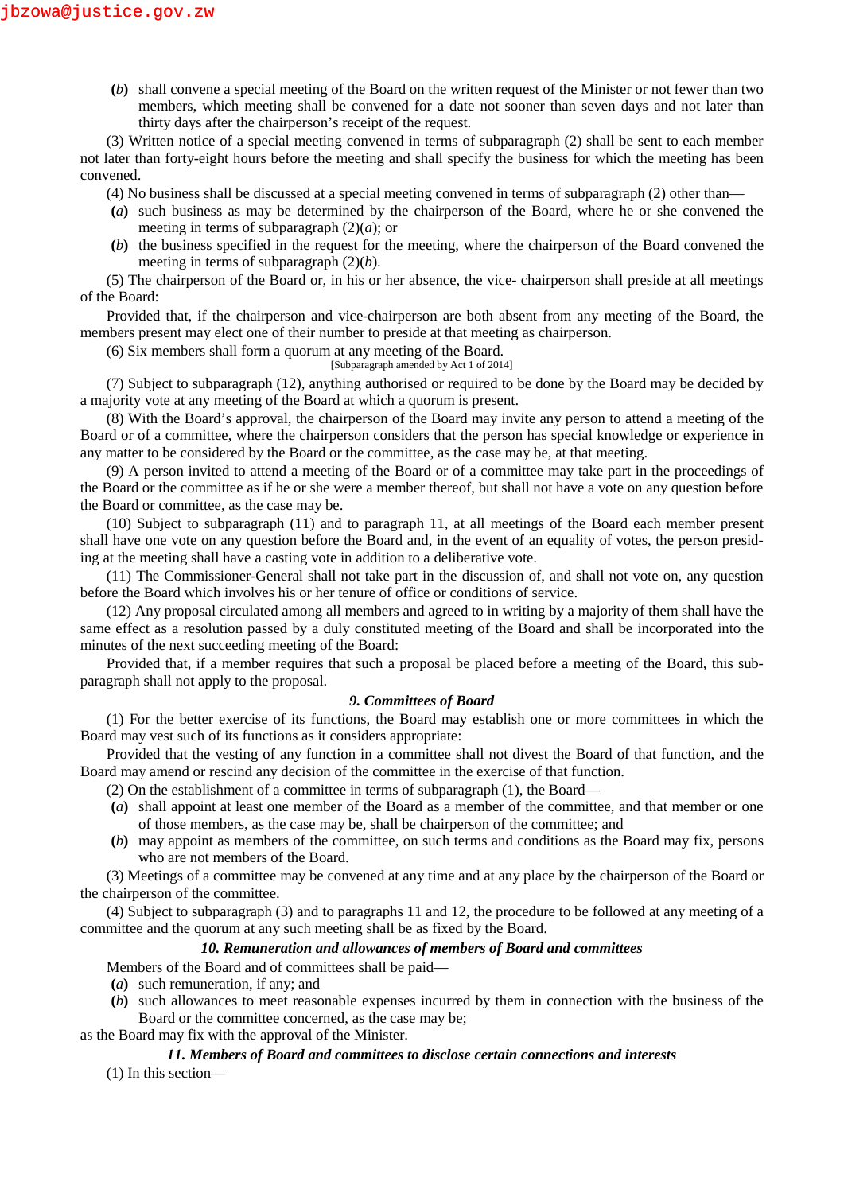**(***b***)** shall convene a special meeting of the Board on the written request of the Minister or not fewer than two members, which meeting shall be convened for a date not sooner than seven days and not later than thirty days after the chairperson's receipt of the request.

(3) Written notice of a special meeting convened in terms of subparagraph (2) shall be sent to each member not later than forty-eight hours before the meeting and shall specify the business for which the meeting has been convened.

- (4) No business shall be discussed at a special meeting convened in terms of subparagraph (2) other than—
- **(***a***)** such business as may be determined by the chairperson of the Board, where he or she convened the meeting in terms of subparagraph  $(2)(a)$ ; or
- **(***b***)** the business specified in the request for the meeting, where the chairperson of the Board convened the meeting in terms of subparagraph (2)(*b*).

(5) The chairperson of the Board or, in his or her absence, the vice- chairperson shall preside at all meetings of the Board:

Provided that, if the chairperson and vice-chairperson are both absent from any meeting of the Board, the members present may elect one of their number to preside at that meeting as chairperson.

- (6) Six members shall form a quorum at any meeting of the Board.
	- [Subparagraph amended by Act 1 of 2014]

(7) Subject to subparagraph (12), anything authorised or required to be done by the Board may be decided by a majority vote at any meeting of the Board at which a quorum is present.

(8) With the Board's approval, the chairperson of the Board may invite any person to attend a meeting of the Board or of a committee, where the chairperson considers that the person has special knowledge or experience in any matter to be considered by the Board or the committee, as the case may be, at that meeting.

(9) A person invited to attend a meeting of the Board or of a committee may take part in the proceedings of the Board or the committee as if he or she were a member thereof, but shall not have a vote on any question before the Board or committee, as the case may be.

(10) Subject to subparagraph (11) and to paragraph 11, at all meetings of the Board each member present shall have one vote on any question before the Board and, in the event of an equality of votes, the person presiding at the meeting shall have a casting vote in addition to a deliberative vote.

(11) The Commissioner-General shall not take part in the discussion of, and shall not vote on, any question before the Board which involves his or her tenure of office or conditions of service.

(12) Any proposal circulated among all members and agreed to in writing by a majority of them shall have the same effect as a resolution passed by a duly constituted meeting of the Board and shall be incorporated into the minutes of the next succeeding meeting of the Board:

Provided that, if a member requires that such a proposal be placed before a meeting of the Board, this subparagraph shall not apply to the proposal.

## *9. Committees of Board*

(1) For the better exercise of its functions, the Board may establish one or more committees in which the Board may vest such of its functions as it considers appropriate:

Provided that the vesting of any function in a committee shall not divest the Board of that function, and the Board may amend or rescind any decision of the committee in the exercise of that function.

- (2) On the establishment of a committee in terms of subparagraph (1), the Board—
- **(***a***)** shall appoint at least one member of the Board as a member of the committee, and that member or one of those members, as the case may be, shall be chairperson of the committee; and
- **(***b***)** may appoint as members of the committee, on such terms and conditions as the Board may fix, persons who are not members of the Board.

(3) Meetings of a committee may be convened at any time and at any place by the chairperson of the Board or the chairperson of the committee.

(4) Subject to subparagraph (3) and to paragraphs 11 and 12, the procedure to be followed at any meeting of a committee and the quorum at any such meeting shall be as fixed by the Board.

## *10. Remuneration and allowances of members of Board and committees*

Members of the Board and of committees shall be paid—

- **(***a***)** such remuneration, if any; and
- **(***b***)** such allowances to meet reasonable expenses incurred by them in connection with the business of the Board or the committee concerned, as the case may be;

as the Board may fix with the approval of the Minister.

## *11. Members of Board and committees to disclose certain connections and interests*

(1) In this section—